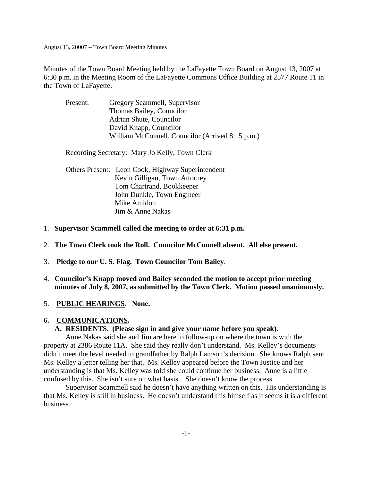Minutes of the Town Board Meeting held by the LaFayette Town Board on August 13, 2007 at 6:30 p.m. in the Meeting Room of the LaFayette Commons Office Building at 2577 Route 11 in the Town of LaFayette.

| Present: | Gregory Scammell, Supervisor                     |
|----------|--------------------------------------------------|
|          | Thomas Bailey, Councilor                         |
|          | Adrian Shute, Councilor                          |
|          | David Knapp, Councilor                           |
|          | William McConnell, Councilor (Arrived 8:15 p.m.) |

Recording Secretary: Mary Jo Kelly, Town Clerk

| Others Present: Leon Cook, Highway Superintendent |
|---------------------------------------------------|
| Kevin Gilligan, Town Attorney                     |
| Tom Chartrand, Bookkeeper                         |
| John Dunkle, Town Engineer                        |
| Mike Amidon                                       |
| Jim & Anne Nakas                                  |

- 1. **Supervisor Scammell called the meeting to order at 6:31 p.m.**
- 2. **The Town Clerk took the Roll. Councilor McConnell absent. All else present.**
- 3. **Pledge to our U. S. Flag. Town Councilor Tom Bailey**.
- 4. **Councilor's Knapp moved and Bailey seconded the motion to accept prior meeting minutes of July 8, 2007, as submitted by the Town Clerk. Motion passed unanimously.**
- 5. **PUBLIC HEARINGS. None.**

### **6. COMMUNICATIONS.**

## **A. RESIDENTS. (Please sign in and give your name before you speak).**

 Anne Nakas said she and Jim are here to follow-up on where the town is with the property at 2386 Route 11A. She said they really don't understand. Ms. Kelley's documents didn't meet the level needed to grandfather by Ralph Lamson's decision. She knows Ralph sent Ms. Kelley a letter telling her that. Ms. Kelley appeared before the Town Justice and her understanding is that Ms. Kelley was told she could continue her business. Anne is a little confused by this. She isn't sure on what basis. She doesn't know the process.

 Supervisor Scammell said he doesn't have anything written on this. His understanding is that Ms. Kelley is still in business. He doesn't understand this himself as it seems it is a different business.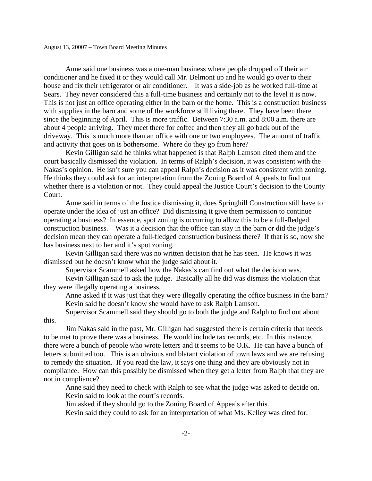Anne said one business was a one-man business where people dropped off their air conditioner and he fixed it or they would call Mr. Belmont up and he would go over to their house and fix their refrigerator or air conditioner. It was a side-job as he worked full-time at Sears. They never considered this a full-time business and certainly not to the level it is now. This is not just an office operating either in the barn or the home. This is a construction business with supplies in the barn and some of the workforce still living there. They have been there since the beginning of April. This is more traffic. Between 7:30 a.m. and 8:00 a.m. there are about 4 people arriving. They meet there for coffee and then they all go back out of the driveway. This is much more than an office with one or two employees. The amount of traffic and activity that goes on is bothersome. Where do they go from here?

 Kevin Gilligan said he thinks what happened is that Ralph Lamson cited them and the court basically dismissed the violation. In terms of Ralph's decision, it was consistent with the Nakas's opinion. He isn't sure you can appeal Ralph's decision as it was consistent with zoning. He thinks they could ask for an interpretation from the Zoning Board of Appeals to find out whether there is a violation or not. They could appeal the Justice Court's decision to the County Court.

 Anne said in terms of the Justice dismissing it, does Springhill Construction still have to operate under the idea of just an office? Did dismissing it give them permission to continue operating a business? In essence, spot zoning is occurring to allow this to be a full-fledged construction business. Was it a decision that the office can stay in the barn or did the judge's decision mean they can operate a full-fledged construction business there? If that is so, now she has business next to her and it's spot zoning.

 Kevin Gilligan said there was no written decision that he has seen. He knows it was dismissed but he doesn't know what the judge said about it.

Supervisor Scammell asked how the Nakas's can find out what the decision was.

 Kevin Gilligan said to ask the judge. Basically all he did was dismiss the violation that they were illegally operating a business.

 Anne asked if it was just that they were illegally operating the office business in the barn? Kevin said he doesn't know she would have to ask Ralph Lamson.

 Supervisor Scammell said they should go to both the judge and Ralph to find out about this.

 Jim Nakas said in the past, Mr. Gilligan had suggested there is certain criteria that needs to be met to prove there was a business. He would include tax records, etc. In this instance, there were a bunch of people who wrote letters and it seems to be O.K. He can have a bunch of letters submitted too. This is an obvious and blatant violation of town laws and we are refusing to remedy the situation. If you read the law, it says one thing and they are obviously not in compliance. How can this possibly be dismissed when they get a letter from Ralph that they are not in compliance?

 Anne said they need to check with Ralph to see what the judge was asked to decide on. Kevin said to look at the court's records.

Jim asked if they should go to the Zoning Board of Appeals after this.

Kevin said they could to ask for an interpretation of what Ms. Kelley was cited for.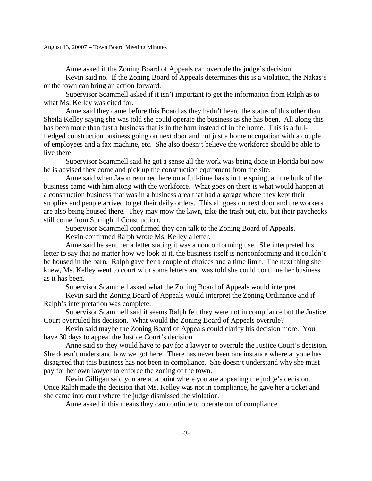Anne asked if the Zoning Board of Appeals can overrule the judge's decision.

 Kevin said no. If the Zoning Board of Appeals determines this is a violation, the Nakas's or the town can bring an action forward.

 Supervisor Scammell asked if it isn't important to get the information from Ralph as to what Ms. Kelley was cited for.

 Anne said they came before this Board as they hadn't heard the status of this other than Sheila Kelley saying she was told she could operate the business as she has been. All along this has been more than just a business that is in the barn instead of in the home. This is a fullfledged construction business going on next door and not just a home occupation with a couple of employees and a fax machine, etc. She also doesn't believe the workforce should be able to live there.

 Supervisor Scammell said he got a sense all the work was being done in Florida but now he is advised they come and pick up the construction equipment from the site.

 Anne said when Jason returned here on a full-time basis in the spring, all the bulk of the business came with him along with the workforce. What goes on there is what would happen at a construction business that was in a business area that had a garage where they kept their supplies and people arrived to get their daily orders. This all goes on next door and the workers are also being housed there. They may mow the lawn, take the trash out, etc. but their paychecks still come from Springhill Construction.

Supervisor Scammell confirmed they can talk to the Zoning Board of Appeals.

Kevin confirmed Ralph wrote Ms. Kelley a letter.

 Anne said he sent her a letter stating it was a nonconforming use. She interpreted his letter to say that no matter how we look at it, the business itself is nonconforming and it couldn't be housed in the barn. Ralph gave her a couple of choices and a time limit. The next thing she knew, Ms. Kelley went to court with some letters and was told she could continue her business as it has been.

Supervisor Scammell asked what the Zoning Board of Appeals would interpret.

 Kevin said the Zoning Board of Appeals would interpret the Zoning Ordinance and if Ralph's interpretation was complete.

 Supervisor Scammell said it seems Ralph felt they were not in compliance but the Justice Court overruled his decision. What would the Zoning Board of Appeals overrule?

 Kevin said maybe the Zoning Board of Appeals could clarify his decision more. You have 30 days to appeal the Justice Court's decision.

 Anne said so they would have to pay for a lawyer to overrule the Justice Court's decision. She doesn't understand how we got here. There has never been one instance where anyone has disagreed that this business has not been in compliance. She doesn't understand why she must pay for her own lawyer to enforce the zoning of the town.

 Kevin Gilligan said you are at a point where you are appealing the judge's decision. Once Ralph made the decision that Ms. Kelley was not in compliance, he gave her a ticket and she came into court where the judge dismissed the violation.

Anne asked if this means they can continue to operate out of compliance.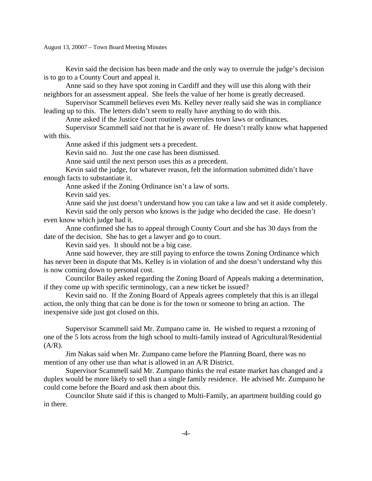Kevin said the decision has been made and the only way to overrule the judge's decision is to go to a County Court and appeal it.

 Anne said so they have spot zoning in Cardiff and they will use this along with their neighbors for an assessment appeal. She feels the value of her home is greatly decreased.

 Supervisor Scammell believes even Ms. Kelley never really said she was in compliance leading up to this. The letters didn't seem to really have anything to do with this.

Anne asked if the Justice Court routinely overrules town laws or ordinances.

 Supervisor Scammell said not that he is aware of. He doesn't really know what happened with this.

Anne asked if this judgment sets a precedent.

Kevin said no. Just the one case has been dismissed.

Anne said until the next person uses this as a precedent.

 Kevin said the judge, for whatever reason, felt the information submitted didn't have enough facts to substantiate it.

Anne asked if the Zoning Ordinance isn't a law of sorts.

Kevin said yes.

Anne said she just doesn't understand how you can take a law and set it aside completely.

 Kevin said the only person who knows is the judge who decided the case. He doesn't even know which judge had it.

 Anne confirmed she has to appeal through County Court and she has 30 days from the date of the decision. She has to get a lawyer and go to court.

Kevin said yes. It should not be a big case.

 Anne said however, they are still paying to enforce the towns Zoning Ordinance which has never been in dispute that Ms. Kelley is in violation of and she doesn't understand why this is now coming down to personal cost.

 Councilor Bailey asked regarding the Zoning Board of Appeals making a determination, if they come up with specific terminology, can a new ticket be issued?

 Kevin said no. If the Zoning Board of Appeals agrees completely that this is an illegal action, the only thing that can be done is for the town or someone to bring an action. The inexpensive side just got closed on this.

 Supervisor Scammell said Mr. Zumpano came in. He wished to request a rezoning of one of the 5 lots across from the high school to multi-family instead of Agricultural/Residential  $(A/R)$ .

 Jim Nakas said when Mr. Zumpano came before the Planning Board, there was no mention of any other use than what is allowed in an A/R District.

 Supervisor Scammell said Mr. Zumpano thinks the real estate market has changed and a duplex would be more likely to sell than a single family residence. He advised Mr. Zumpano he could come before the Board and ask them about this.

 Councilor Shute said if this is changed to Multi-Family, an apartment building could go in there.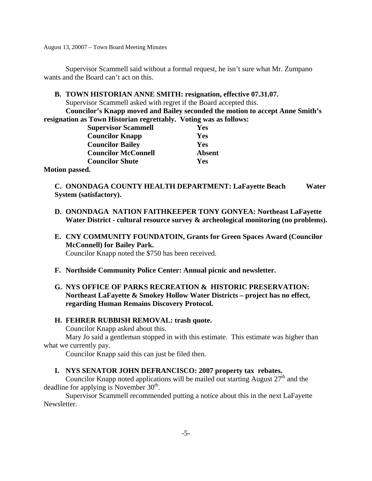Supervisor Scammell said without a formal request, he isn't sure what Mr. Zumpano wants and the Board can't act on this.

**B. TOWN HISTORIAN ANNE SMITH: resignation, effective 07.31.07.** 

Supervisor Scammell asked with regret if the Board accepted this.

**Councilor's Knapp moved and Bailey seconded the motion to accept Anne Smith's resignation as Town Historian regrettably. Voting was as follows:** 

| <b>Supervisor Scammell</b> | Yes           |
|----------------------------|---------------|
| <b>Councilor Knapp</b>     | Yes           |
| <b>Councilor Bailey</b>    | Yes           |
| <b>Councilor McConnell</b> | <b>Absent</b> |
| <b>Councilor Shute</b>     | Yes           |
|                            |               |

**Motion passed.** 

**C. ONONDAGA COUNTY HEALTH DEPARTMENT: LaFayette Beach Water System (satisfactory).** 

- **D. ONONDAGA NATION FAITHKEEPER TONY GONYEA: Northeast LaFayette**  Water District - cultural resource survey & archeological monitoring (no problems).
- **E. CNY COMMUNITY FOUNDATOIN, Grants for Green Spaces Award (Councilor McConnell) for Bailey Park.**  Councilor Knapp noted the \$750 has been received.
- **F. Northside Community Police Center: Annual picnic and newsletter.**
- **G. NYS OFFICE OF PARKS RECREATION & HISTORIC PRESERVATION: Northeast LaFayette & Smokey Hollow Water Districts – project has no effect, regarding Human Remains Discovery Protocol.**

# **H. FEHRER RUBBISH REMOVAL: trash quote.**

Councilor Knapp asked about this.

 Mary Jo said a gentleman stopped in with this estimate. This estimate was higher than what we currently pay.

Councilor Knapp said this can just be filed then.

# **I. NYS SENATOR JOHN DEFRANCISCO: 2007 property tax rebates.**

Councilor Knapp noted applications will be mailed out starting August  $27<sup>th</sup>$  and the deadline for applying is November  $30<sup>th</sup>$ .

 Supervisor Scammell recommended putting a notice about this in the next LaFayette Newsletter.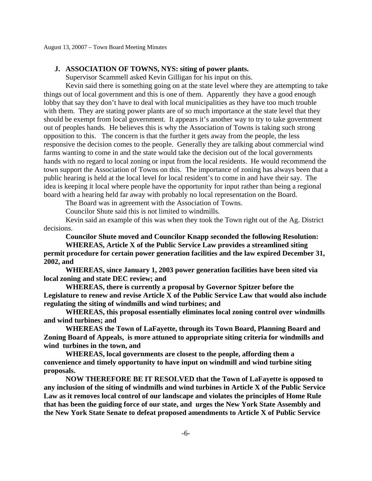### **J. ASSOCIATION OF TOWNS, NYS: siting of power plants.**

Supervisor Scammell asked Kevin Gilligan for his input on this.

 Kevin said there is something going on at the state level where they are attempting to take things out of local government and this is one of them. Apparently they have a good enough lobby that say they don't have to deal with local municipalities as they have too much trouble with them. They are stating power plants are of so much importance at the state level that they should be exempt from local government. It appears it's another way to try to take government out of peoples hands. He believes this is why the Association of Towns is taking such strong opposition to this. The concern is that the further it gets away from the people, the less responsive the decision comes to the people. Generally they are talking about commercial wind farms wanting to come in and the state would take the decision out of the local governments hands with no regard to local zoning or input from the local residents. He would recommend the town support the Association of Towns on this. The importance of zoning has always been that a public hearing is held at the local level for local resident's to come in and have their say. The idea is keeping it local where people have the opportunity for input rather than being a regional board with a hearing held far away with probably no local representation on the Board.

The Board was in agreement with the Association of Towns.

Councilor Shute said this is not limited to windmills.

 Kevin said an example of this was when they took the Town right out of the Ag. District decisions.

**Councilor Shute moved and Councilor Knapp seconded the following Resolution:** 

 **WHEREAS, Article X of the Public Service Law provides a streamlined siting permit procedure for certain power generation facilities and the law expired December 31, 2002, and** 

 **WHEREAS, since January 1, 2003 power generation facilities have been sited via local zoning and state DEC review; and** 

 **WHEREAS, there is currently a proposal by Governor Spitzer before the Legislature to renew and revise Article X of the Public Service Law that would also include regulating the siting of windmills and wind turbines; and** 

 **WHEREAS, this proposal essentially eliminates local zoning control over windmills and wind turbines; and** 

 **WHEREAS the Town of LaFayette, through its Town Board, Planning Board and Zoning Board of Appeals, is more attuned to appropriate siting criteria for windmills and wind turbines in the town, and** 

 **WHEREAS, local governments are closest to the people, affording them a convenience and timely opportunity to have input on windmill and wind turbine siting proposals.** 

 **NOW THEREFORE BE IT RESOLVED that the Town of LaFayette is opposed to any inclusion of the siting of windmills and wind turbines in Article X of the Public Service Law as it removes local control of our landscape and violates the principles of Home Rule that has been the guiding force of our state, and urges the New York State Assembly and the New York State Senate to defeat proposed amendments to Article X of Public Service**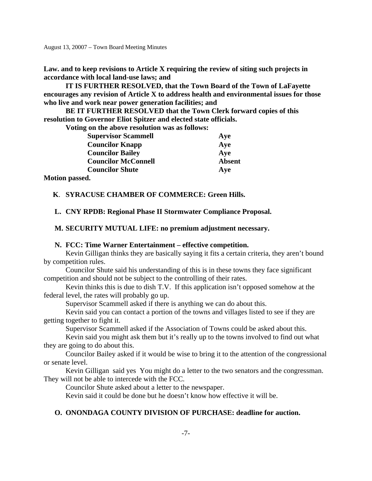**Law. and to keep revisions to Article X requiring the review of siting such projects in accordance with local land-use laws; and** 

 **IT IS FURTHER RESOLVED, that the Town Board of the Town of LaFayette encourages any revision of Article X to address health and environmental issues for those who live and work near power generation facilities; and** 

 **BE IT FURTHER RESOLVED that the Town Clerk forward copies of this resolution to Governor Eliot Spitzer and elected state officials.** 

 **Voting on the above resolution was as follows:** 

|      | <b>Supervisor Scammell</b> | Aye           |
|------|----------------------------|---------------|
|      | <b>Councilor Knapp</b>     | Aye           |
|      | <b>Councilor Bailey</b>    | Aye           |
|      | <b>Councilor McConnell</b> | <b>Absent</b> |
|      | <b>Councilor Shute</b>     | Aye           |
| 1. 1 |                            |               |

**Motion passed.** 

### **K**. **SYRACUSE CHAMBER OF COMMERCE: Green Hills.**

**L. CNY RPDB: Regional Phase II Stormwater Compliance Proposal.** 

**M. SECURITY MUTUAL LIFE: no premium adjustment necessary.** 

#### **N. FCC: Time Warner Entertainment – effective competition.**

 Kevin Gilligan thinks they are basically saying it fits a certain criteria, they aren't bound by competition rules.

 Councilor Shute said his understanding of this is in these towns they face significant competition and should not be subject to the controlling of their rates.

 Kevin thinks this is due to dish T.V. If this application isn't opposed somehow at the federal level, the rates will probably go up.

Supervisor Scammell asked if there is anything we can do about this.

 Kevin said you can contact a portion of the towns and villages listed to see if they are getting together to fight it.

Supervisor Scammell asked if the Association of Towns could be asked about this.

 Kevin said you might ask them but it's really up to the towns involved to find out what they are going to do about this.

 Councilor Bailey asked if it would be wise to bring it to the attention of the congressional or senate level.

 Kevin Gilligan said yes You might do a letter to the two senators and the congressman. They will not be able to intercede with the FCC.

Councilor Shute asked about a letter to the newspaper.

Kevin said it could be done but he doesn't know how effective it will be.

### **O. ONONDAGA COUNTY DIVISION OF PURCHASE: deadline for auction.**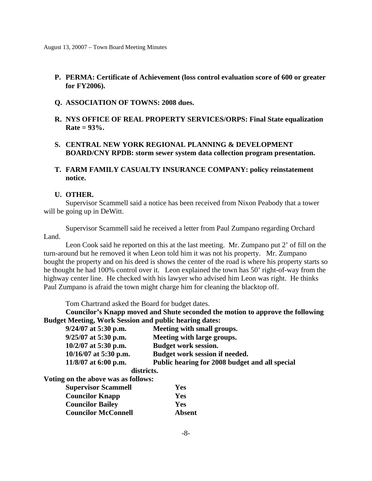- **P. PERMA: Certificate of Achievement (loss control evaluation score of 600 or greater for FY2006).**
- **Q. ASSOCIATION OF TOWNS: 2008 dues.**
- **R. NYS OFFICE OF REAL PROPERTY SERVICES/ORPS: Final State equalization Rate = 93%.**
- **S. CENTRAL NEW YORK REGIONAL PLANNING & DEVELOPMENT BOARD/CNY RPDB: storm sewer system data collection program presentation.**
- **T. FARM FAMILY CASUALTY INSURANCE COMPANY: policy reinstatement notice.**

## **U. OTHER.**

 Supervisor Scammell said a notice has been received from Nixon Peabody that a tower will be going up in DeWitt.

 Supervisor Scammell said he received a letter from Paul Zumpano regarding Orchard Land.

 Leon Cook said he reported on this at the last meeting. Mr. Zumpano put 2' of fill on the turn-around but he removed it when Leon told him it was not his property. Mr. Zumpano bought the property and on his deed is shows the center of the road is where his property starts so he thought he had 100% control over it. Leon explained the town has 50' right-of-way from the highway center line. He checked with his lawyer who advised him Leon was right. He thinks Paul Zumpano is afraid the town might charge him for cleaning the blacktop off.

Tom Chartrand asked the Board for budget dates.

 **Councilor's Knapp moved and Shute seconded the motion to approve the following Budget Meeting, Work Session and public hearing dates:** 

| $9/24/07$ at 5:30 p.m.                                                                                                                           | Meeting with small groups.                     |
|--------------------------------------------------------------------------------------------------------------------------------------------------|------------------------------------------------|
| $9/25/07$ at 5:30 p.m.                                                                                                                           | Meeting with large groups.                     |
| $10/2/07$ at 5:30 p.m.                                                                                                                           | <b>Budget work session.</b>                    |
| $10/16/07$ at 5:30 p.m.                                                                                                                          | Budget work session if needed.                 |
| $11/8/07$ at 6:00 p.m.                                                                                                                           | Public hearing for 2008 budget and all special |
| districts.                                                                                                                                       |                                                |
| $\mathbf{Y}^{T}$ , $A^{\bullet}$ , and a set of $\mathbf{I}$ , and a set of $\mathbf{I}$ , and a set of $\mathbf{I}$ , and a set of $\mathbf{I}$ |                                                |

**Voting on the above was as follows:** 

| <b>Supervisor Scammell</b> | Yes        |
|----------------------------|------------|
| <b>Councilor Knapp</b>     | Yes        |
| <b>Councilor Bailey</b>    | <b>Yes</b> |
| <b>Councilor McConnell</b> | Absent     |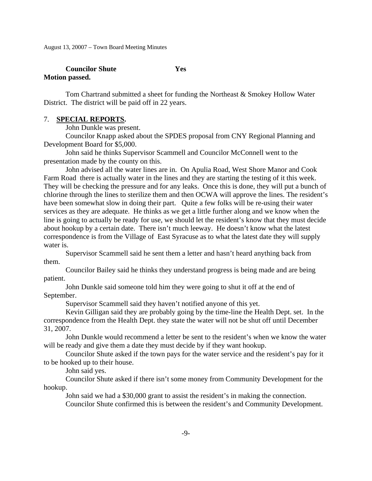# *Councilor Shute* **7es Motion passed.**

 Tom Chartrand submitted a sheet for funding the Northeast & Smokey Hollow Water District. The district will be paid off in 22 years.

### 7. **SPECIAL REPORTS.**

John Dunkle was present.

 Councilor Knapp asked about the SPDES proposal from CNY Regional Planning and Development Board for \$5,000.

 John said he thinks Supervisor Scammell and Councilor McConnell went to the presentation made by the county on this.

 John advised all the water lines are in. On Apulia Road, West Shore Manor and Cook Farm Road there is actually water in the lines and they are starting the testing of it this week. They will be checking the pressure and for any leaks. Once this is done, they will put a bunch of chlorine through the lines to sterilize them and then OCWA will approve the lines. The resident's have been somewhat slow in doing their part. Quite a few folks will be re-using their water services as they are adequate. He thinks as we get a little further along and we know when the line is going to actually be ready for use, we should let the resident's know that they must decide about hookup by a certain date. There isn't much leeway. He doesn't know what the latest correspondence is from the Village of East Syracuse as to what the latest date they will supply water is.

 Supervisor Scammell said he sent them a letter and hasn't heard anything back from them.

 Councilor Bailey said he thinks they understand progress is being made and are being patient.

 John Dunkle said someone told him they were going to shut it off at the end of September.

Supervisor Scammell said they haven't notified anyone of this yet.

 Kevin Gilligan said they are probably going by the time-line the Health Dept. set. In the correspondence from the Health Dept. they state the water will not be shut off until December 31, 2007.

 John Dunkle would recommend a letter be sent to the resident's when we know the water will be ready and give them a date they must decide by if they want hookup.

 Councilor Shute asked if the town pays for the water service and the resident's pay for it to be hooked up to their house.

John said yes.

 Councilor Shute asked if there isn't some money from Community Development for the hookup.

John said we had a \$30,000 grant to assist the resident's in making the connection.

Councilor Shute confirmed this is between the resident's and Community Development.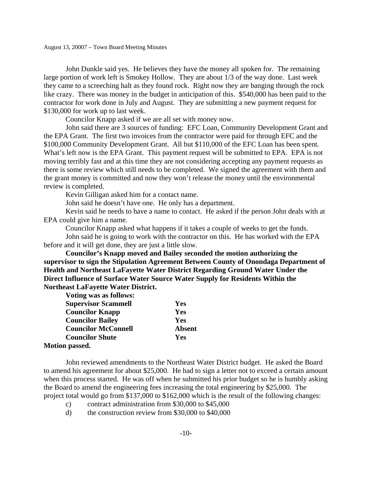John Dunkle said yes. He believes they have the money all spoken for. The remaining large portion of work left is Smokey Hollow. They are about 1/3 of the way done. Last week they came to a screeching halt as they found rock. Right now they are banging through the rock like crazy. There was money in the budget in anticipation of this. \$540,000 has been paid to the contractor for work done in July and August. They are submitting a new payment request for \$130,000 for work up to last week.

Councilor Knapp asked if we are all set with money now.

 John said there are 3 sources of funding: EFC Loan, Community Development Grant and the EPA Grant. The first two invoices from the contractor were paid for through EFC and the \$100,000 Community Development Grant. All but \$110,000 of the EFC Loan has been spent. What's left now is the EPA Grant. This payment request will be submitted to EPA. EPA is not moving terribly fast and at this time they are not considering accepting any payment requests as there is some review which still needs to be completed. We signed the agreement with them and the grant money is committed and now they won't release the money until the environmental review is completed.

Kevin Gilligan asked him for a contact name.

John said he doesn't have one. He only has a department.

 Kevin said he needs to have a name to contact. He asked if the person John deals with at EPA could give him a name.

Councilor Knapp asked what happens if it takes a couple of weeks to get the funds.

 John said he is going to work with the contractor on this. He has worked with the EPA before and it will get done, they are just a little slow.

**Councilor's Knapp moved and Bailey seconded the motion authorizing the supervisor to sign the Stipulation Agreement Between County of Onondaga Department of Health and Northeast LaFayette Water District Regarding Ground Water Under the Direct Influence of Surface Water Source Water Supply for Residents Within the Northeast LaFayette Water District.** 

| <b>Voting was as follows:</b> |               |
|-------------------------------|---------------|
| <b>Supervisor Scammell</b>    | <b>Yes</b>    |
| <b>Councilor Knapp</b>        | Yes           |
| <b>Councilor Bailey</b>       | Yes           |
| <b>Councilor McConnell</b>    | <b>Absent</b> |
| <b>Councilor Shute</b>        | Yes           |
| <b>Motion passed.</b>         |               |

# John reviewed amendments to the Northeast Water District budget. He asked the Board to amend his agreement for about \$25,000. He had to sign a letter not to exceed a certain amount when this process started. He was off when he submitted his prior budget so he is humbly asking the Board to amend the engineering fees increasing the total engineering by \$25,000. The project total would go from \$137,000 to \$162,000 which is the result of the following changes:

- c) contract administration from \$30,000 to \$45,000
- d) the construction review from \$30,000 to \$40,000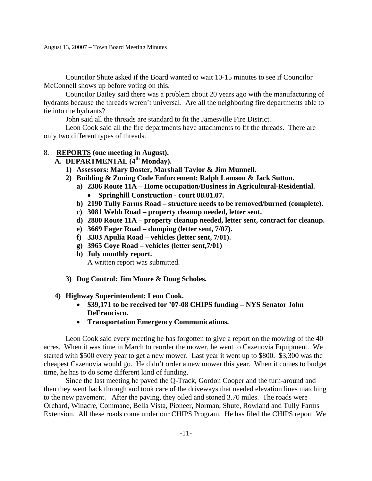Councilor Shute asked if the Board wanted to wait 10-15 minutes to see if Councilor McConnell shows up before voting on this.

 Councilor Bailey said there was a problem about 20 years ago with the manufacturing of hydrants because the threads weren't universal. Are all the neighboring fire departments able to tie into the hydrants?

John said all the threads are standard to fit the Jamesville Fire District.

 Leon Cook said all the fire departments have attachments to fit the threads. There are only two different types of threads.

# 8. **REPORTS (one meeting in August).**

- **A. DEPARTMENTAL (4th Monday).** 
	- **1) Assessors: Mary Doster, Marshall Taylor & Jim Munnell.**
	- **2) Building & Zoning Code Enforcement: Ralph Lamson & Jack Sutton.** 
		- **a) 2386 Route 11A Home occupation/Business in Agricultural-Residential.** 
			- **Springhill Construction court 08.01.07.**
		- **b) 2190 Tully Farms Road structure needs to be removed/burned (complete).**
		- **c) 3081 Webb Road property cleanup needed, letter sent.**
		- **d) 2880 Route 11A property cleanup needed, letter sent, contract for cleanup.**
		- **e) 3669 Eager Road dumping (letter sent, 7/07).**
		- **f) 3303 Apulia Road vehicles (letter sent, 7/01).**
		- **g) 3965 Coye Road vehicles (letter sent,7/01)**
		- **h) July monthly report.**

A written report was submitted.

 **3) Dog Control: Jim Moore & Doug Scholes.** 

# **4) Highway Superintendent: Leon Cook.**

- **\$39,171 to be received for '07-08 CHIPS funding NYS Senator John DeFrancisco.**
- **Transportation Emergency Communications.**

 Leon Cook said every meeting he has forgotten to give a report on the mowing of the 40 acres. When it was time in March to reorder the mower, he went to Cazenovia Equipment. We started with \$500 every year to get a new mower. Last year it went up to \$800. \$3,300 was the cheapest Cazenovia would go. He didn't order a new mower this year. When it comes to budget time, he has to do some different kind of funding.

 Since the last meeting he paved the Q-Track, Gordon Cooper and the turn-around and then they went back through and took care of the driveways that needed elevation lines matching to the new pavement. After the paving, they oiled and stoned 3.70 miles. The roads were Orchard, Winacre, Commane, Bella Vista, Pioneer, Norman, Shute, Rowland and Tully Farms Extension. All these roads come under our CHIPS Program. He has filed the CHIPS report. We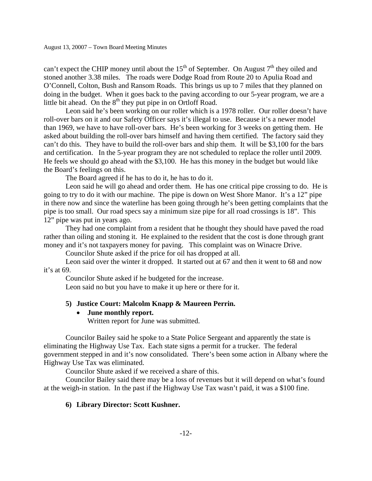can't expect the CHIP money until about the  $15<sup>th</sup>$  of September. On August  $7<sup>th</sup>$  they oiled and stoned another 3.38 miles. The roads were Dodge Road from Route 20 to Apulia Road and O'Connell, Colton, Bush and Ransom Roads. This brings us up to 7 miles that they planned on doing in the budget. When it goes back to the paving according to our 5-year program, we are a little bit ahead. On the  $8<sup>th</sup>$  they put pipe in on Ortloff Road.

 Leon said he's been working on our roller which is a 1978 roller. Our roller doesn't have roll-over bars on it and our Safety Officer says it's illegal to use. Because it's a newer model than 1969, we have to have roll-over bars. He's been working for 3 weeks on getting them. He asked about building the roll-over bars himself and having them certified. The factory said they can't do this. They have to build the roll-over bars and ship them. It will be \$3,100 for the bars and certification. In the 5-year program they are not scheduled to replace the roller until 2009. He feels we should go ahead with the \$3,100. He has this money in the budget but would like the Board's feelings on this.

The Board agreed if he has to do it, he has to do it.

 Leon said he will go ahead and order them. He has one critical pipe crossing to do. He is going to try to do it with our machine. The pipe is down on West Shore Manor. It's a 12" pipe in there now and since the waterline has been going through he's been getting complaints that the pipe is too small. Our road specs say a minimum size pipe for all road crossings is 18". This 12" pipe was put in years ago.

 They had one complaint from a resident that he thought they should have paved the road rather than oiling and stoning it. He explained to the resident that the cost is done through grant money and it's not taxpayers money for paving. This complaint was on Winacre Drive.

Councilor Shute asked if the price for oil has dropped at all.

 Leon said over the winter it dropped. It started out at 67 and then it went to 68 and now it's at 69.

Councilor Shute asked if he budgeted for the increase.

Leon said no but you have to make it up here or there for it.

### **5) Justice Court: Malcolm Knapp & Maureen Perrin.**

### • **June monthly report.**

Written report for June was submitted.

 Councilor Bailey said he spoke to a State Police Sergeant and apparently the state is eliminating the Highway Use Tax. Each state signs a permit for a trucker. The federal government stepped in and it's now consolidated. There's been some action in Albany where the Highway Use Tax was eliminated.

Councilor Shute asked if we received a share of this.

 Councilor Bailey said there may be a loss of revenues but it will depend on what's found at the weigh-in station. In the past if the Highway Use Tax wasn't paid, it was a \$100 fine.

### **6) Library Director: Scott Kushner.**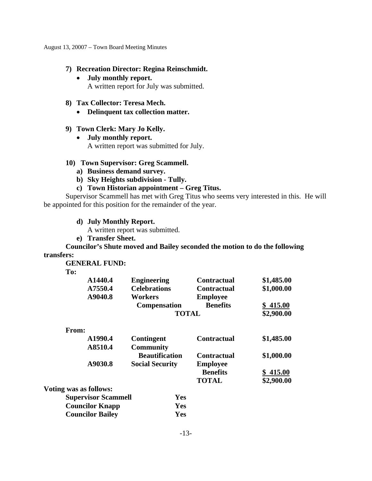## **7) Recreation Director: Regina Reinschmidt.**

- **July monthly report.**  A written report for July was submitted.
- **8) Tax Collector: Teresa Mech.** 
	- **Delinquent tax collection matter.**

## **9) Town Clerk: Mary Jo Kelly.**

• **July monthly report.**  A written report was submitted for July.

## **10) Town Supervisor: Greg Scammell.**

- **a) Business demand survey.**
- **b) Sky Heights subdivision Tully.**
- **c) Town Historian appointment Greg Titus.**

 Supervisor Scammell has met with Greg Titus who seems very interested in this. He will be appointed for this position for the remainder of the year.

**d) July Monthly Report.** 

A written report was submitted.

 **Councilor Bailey Yes** 

**e) Transfer Sheet.** 

 **Councilor's Shute moved and Bailey seconded the motion to do the following transfers:** 

 **GENERAL FUND:** 

 **To:** 

| A1440.4 | <b>Engineering</b>  | <b>Contractual</b> | \$1,485.00 |
|---------|---------------------|--------------------|------------|
| A7550.4 | <b>Celebrations</b> | <b>Contractual</b> | \$1,000.00 |
| A9040.8 | Workers             | <b>Employee</b>    |            |
|         | <b>Compensation</b> | <b>Benefits</b>    | \$415.00   |
|         | <b>TOTAL</b>        |                    | \$2,900.00 |
|         |                     |                    |            |

| A1990.4                    | <b>Contingent</b>      | <b>Contractual</b> | \$1,485.00 |
|----------------------------|------------------------|--------------------|------------|
| A8510.4                    | <b>Community</b>       |                    |            |
|                            | <b>Beautification</b>  | <b>Contractual</b> | \$1,000.00 |
| A9030.8                    | <b>Social Security</b> | <b>Employee</b>    |            |
|                            |                        | <b>Benefits</b>    | \$415.00   |
|                            |                        | <b>TOTAL</b>       | \$2,900.00 |
| Voting was as follows:     |                        |                    |            |
| <b>Supervisor Scammell</b> | Yes                    |                    |            |
| <b>Councilor Knapp</b>     | Yes                    |                    |            |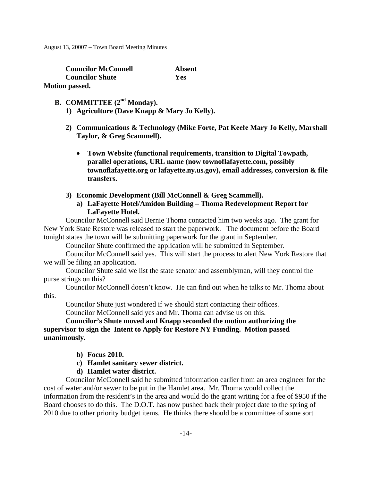| <b>Councilor McConnell</b> | Absent     |
|----------------------------|------------|
| <b>Councilor Shute</b>     | <b>Yes</b> |
| <b>Motion passed.</b>      |            |

# **B. COMMITTEE** (2<sup>nd</sup> Monday).

- **1) Agriculture (Dave Knapp & Mary Jo Kelly).**
- **2) Communications & Technology (Mike Forte, Pat Keefe Mary Jo Kelly, Marshall Taylor, & Greg Scammell).** 
	- **Town Website (functional requirements, transition to Digital Towpath, parallel operations, URL name (now townoflafayette.com, possibly townoflafayette.org or lafayette.ny.us.gov), email addresses, conversion & file transfers.**
- **3) Economic Development (Bill McConnell & Greg Scammell).** 
	- **a) LaFayette Hotel/Amidon Building Thoma Redevelopment Report for LaFayette Hotel.**

 Councilor McConnell said Bernie Thoma contacted him two weeks ago. The grant for New York State Restore was released to start the paperwork. The document before the Board tonight states the town will be submitting paperwork for the grant in September.

Councilor Shute confirmed the application will be submitted in September.

 Councilor McConnell said yes. This will start the process to alert New York Restore that we will be filing an application.

 Councilor Shute said we list the state senator and assemblyman, will they control the purse strings on this?

 Councilor McConnell doesn't know. He can find out when he talks to Mr. Thoma about this.

Councilor Shute just wondered if we should start contacting their offices.

Councilor McConnell said yes and Mr. Thoma can advise us on this.

# **Councilor's Shute moved and Knapp seconded the motion authorizing the supervisor to sign the Intent to Apply for Restore NY Funding. Motion passed unanimously.**

- **b) Focus 2010.**
- **c) Hamlet sanitary sewer district.**
- **d) Hamlet water district.**

 Councilor McConnell said he submitted information earlier from an area engineer for the cost of water and/or sewer to be put in the Hamlet area. Mr. Thoma would collect the information from the resident's in the area and would do the grant writing for a fee of \$950 if the Board chooses to do this. The D.O.T. has now pushed back their project date to the spring of 2010 due to other priority budget items. He thinks there should be a committee of some sort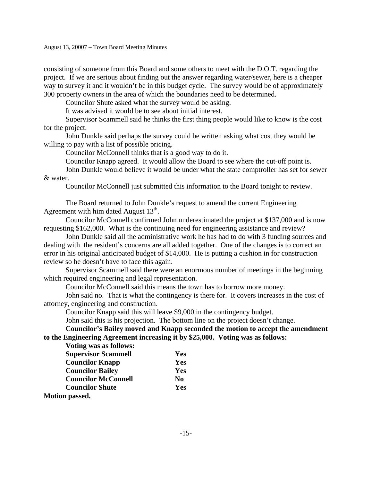consisting of someone from this Board and some others to meet with the D.O.T. regarding the project. If we are serious about finding out the answer regarding water/sewer, here is a cheaper way to survey it and it wouldn't be in this budget cycle. The survey would be of approximately 300 property owners in the area of which the boundaries need to be determined.

Councilor Shute asked what the survey would be asking.

It was advised it would be to see about initial interest.

 Supervisor Scammell said he thinks the first thing people would like to know is the cost for the project.

 John Dunkle said perhaps the survey could be written asking what cost they would be willing to pay with a list of possible pricing.

Councilor McConnell thinks that is a good way to do it.

Councilor Knapp agreed. It would allow the Board to see where the cut-off point is.

 John Dunkle would believe it would be under what the state comptroller has set for sewer & water.

Councilor McConnell just submitted this information to the Board tonight to review.

 The Board returned to John Dunkle's request to amend the current Engineering Agreement with him dated August  $13^{th}$ .

 Councilor McConnell confirmed John underestimated the project at \$137,000 and is now requesting \$162,000. What is the continuing need for engineering assistance and review?

 John Dunkle said all the administrative work he has had to do with 3 funding sources and dealing with the resident's concerns are all added together. One of the changes is to correct an error in his original anticipated budget of \$14,000. He is putting a cushion in for construction review so he doesn't have to face this again.

 Supervisor Scammell said there were an enormous number of meetings in the beginning which required engineering and legal representation.

Councilor McConnell said this means the town has to borrow more money.

 John said no. That is what the contingency is there for. It covers increases in the cost of attorney, engineering and construction.

Councilor Knapp said this will leave \$9,000 in the contingency budget.

John said this is his projection. The bottom line on the project doesn't change.

**Councilor's Bailey moved and Knapp seconded the motion to accept the amendment to the Engineering Agreement increasing it by \$25,000. Voting was as follows:** 

 **Voting was as follows:** 

| <b>Supervisor Scammell</b>                     | Yes            |
|------------------------------------------------|----------------|
| <b>Councilor Knapp</b>                         | Yes            |
| <b>Councilor Bailey</b>                        | Yes            |
| <b>Councilor McConnell</b>                     | N <sub>0</sub> |
| <b>Councilor Shute</b>                         | Yes            |
| $M0$ $\sim$ $\sim$ $\sim$ $\sim$ $\sim$ $\sim$ |                |

**Motion passed.**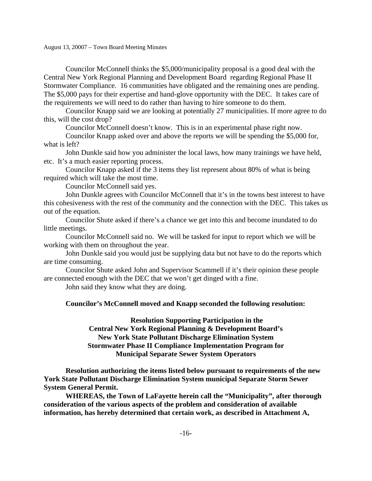Councilor McConnell thinks the \$5,000/municipality proposal is a good deal with the Central New York Regional Planning and Development Board regarding Regional Phase II Stormwater Compliance. 16 communities have obligated and the remaining ones are pending. The \$5,000 pays for their expertise and hand-glove opportunity with the DEC. It takes care of the requirements we will need to do rather than having to hire someone to do them.

 Councilor Knapp said we are looking at potentially 27 municipalities. If more agree to do this, will the cost drop?

Councilor McConnell doesn't know. This is in an experimental phase right now.

 Councilor Knapp asked over and above the reports we will be spending the \$5,000 for, what is left?

 John Dunkle said how you administer the local laws, how many trainings we have held, etc. It's a much easier reporting process.

 Councilor Knapp asked if the 3 items they list represent about 80% of what is being required which will take the most time.

Councilor McConnell said yes.

 John Dunkle agrees with Councilor McConnell that it's in the towns best interest to have this cohesiveness with the rest of the community and the connection with the DEC. This takes us out of the equation.

 Councilor Shute asked if there's a chance we get into this and become inundated to do little meetings.

 Councilor McConnell said no. We will be tasked for input to report which we will be working with them on throughout the year.

 John Dunkle said you would just be supplying data but not have to do the reports which are time consuming.

 Councilor Shute asked John and Supervisor Scammell if it's their opinion these people are connected enough with the DEC that we won't get dinged with a fine.

John said they know what they are doing.

### **Councilor's McConnell moved and Knapp seconded the following resolution:**

 **Resolution Supporting Participation in the Central New York Regional Planning & Development Board's New York State Pollutant Discharge Elimination System Stormwater Phase II Compliance Implementation Program for Municipal Separate Sewer System Operators** 

 **Resolution authorizing the items listed below pursuant to requirements of the new York State Pollutant Discharge Elimination System municipal Separate Storm Sewer System General Permit.** 

 **WHEREAS, the Town of LaFayette herein call the "Municipality", after thorough consideration of the various aspects of the problem and consideration of available information, has hereby determined that certain work, as described in Attachment A,**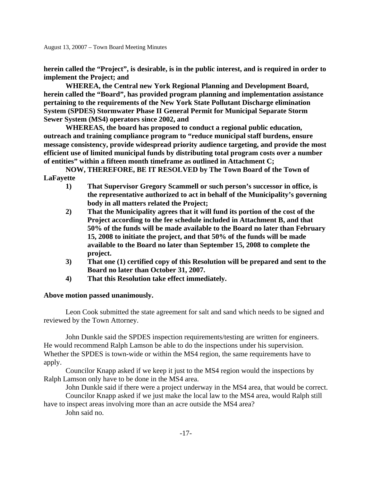**herein called the "Project", is desirable, is in the public interest, and is required in order to implement the Project; and** 

 **WHEREA, the Central new York Regional Planning and Development Board, herein called the "Board", has provided program planning and implementation assistance pertaining to the requirements of the New York State Pollutant Discharge elimination System (SPDES) Stormwater Phase II General Permit for Municipal Separate Storm Sewer System (MS4) operators since 2002, and** 

 **WHEREAS, the board has proposed to conduct a regional public education, outreach and training compliance program to "reduce municipal staff burdens, ensure message consistency, provide widespread priority audience targeting, and provide the most efficient use of limited municipal funds by distributing total program costs over a number of entities" within a fifteen month timeframe as outlined in Attachment C;** 

 **NOW, THEREFORE, BE IT RESOLVED by The Town Board of the Town of LaFayette** 

- **1) That Supervisor Gregory Scammell or such person's successor in office, is the representative authorized to act in behalf of the Municipality's governing body in all matters related the Project;**
- **2) That the Municipality agrees that it will fund its portion of the cost of the Project according to the fee schedule included in Attachment B, and that 50% of the funds will be made available to the Board no later than February 15, 2008 to initiate the project, and that 50% of the funds will be made available to the Board no later than September 15, 2008 to complete the project.**
- **3) That one (1) certified copy of this Resolution will be prepared and sent to the Board no later than October 31, 2007.**
- **4) That this Resolution take effect immediately.**

# **Above motion passed unanimously.**

 Leon Cook submitted the state agreement for salt and sand which needs to be signed and reviewed by the Town Attorney.

 John Dunkle said the SPDES inspection requirements/testing are written for engineers. He would recommend Ralph Lamson be able to do the inspections under his supervision. Whether the SPDES is town-wide or within the MS4 region, the same requirements have to apply.

 Councilor Knapp asked if we keep it just to the MS4 region would the inspections by Ralph Lamson only have to be done in the MS4 area.

John Dunkle said if there were a project underway in the MS4 area, that would be correct.

 Councilor Knapp asked if we just make the local law to the MS4 area, would Ralph still have to inspect areas involving more than an acre outside the MS4 area?

John said no.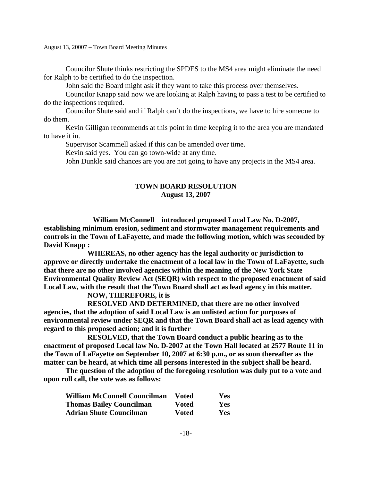Councilor Shute thinks restricting the SPDES to the MS4 area might eliminate the need for Ralph to be certified to do the inspection.

John said the Board might ask if they want to take this process over themselves.

 Councilor Knapp said now we are looking at Ralph having to pass a test to be certified to do the inspections required.

 Councilor Shute said and if Ralph can't do the inspections, we have to hire someone to do them.

 Kevin Gilligan recommends at this point in time keeping it to the area you are mandated to have it in.

Supervisor Scammell asked if this can be amended over time.

Kevin said yes. You can go town-wide at any time.

John Dunkle said chances are you are not going to have any projects in the MS4 area.

## **TOWN BOARD RESOLUTION August 13, 2007**

 **William McConnell introduced proposed Local Law No. D-2007, establishing minimum erosion, sediment and stormwater management requirements and controls in the Town of LaFayette, and made the following motion, which was seconded by David Knapp :** 

 **WHEREAS, no other agency has the legal authority or jurisdiction to approve or directly undertake the enactment of a local law in the Town of LaFayette, such that there are no other involved agencies within the meaning of the New York State Environmental Quality Review Act (SEQR) with respect to the proposed enactment of said Local Law, with the result that the Town Board shall act as lead agency in this matter.** 

# **NOW, THEREFORE, it is**

 **RESOLVED AND DETERMINED, that there are no other involved agencies, that the adoption of said Local Law is an unlisted action for purposes of environmental review under SEQR and that the Town Board shall act as lead agency with regard to this proposed action; and it is further** 

 **RESOLVED, that the Town Board conduct a public hearing as to the enactment of proposed Local law No. D-2007 at the Town Hall located at 2577 Route 11 in the Town of LaFayette on September 10, 2007 at 6:30 p.m., or as soon thereafter as the matter can be heard, at which time all persons interested in the subject shall be heard.** 

 **The question of the adoption of the foregoing resolution was duly put to a vote and upon roll call, the vote was as follows:** 

| <b>William McConnell Councilman</b> | <b>Voted</b> | <b>Yes</b> |
|-------------------------------------|--------------|------------|
| <b>Thomas Bailey Councilman</b>     | <b>Voted</b> | <b>Yes</b> |
| <b>Adrian Shute Councilman</b>      | <b>Voted</b> | <b>Yes</b> |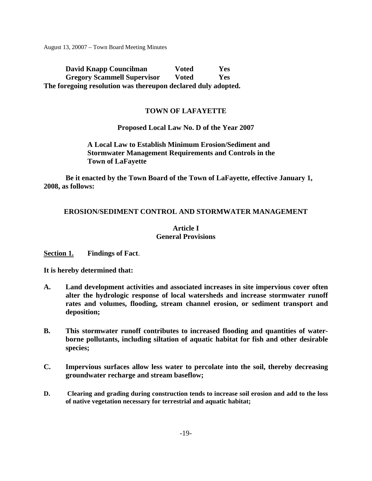**David Knapp Councilman** Voted Yes  **Gregory Scammell Supervisor Voted Yes The foregoing resolution was thereupon declared duly adopted.** 

# **TOWN OF LAFAYETTE**

## **Proposed Local Law No. D of the Year 2007**

**A Local Law to Establish Minimum Erosion/Sediment and Stormwater Management Requirements and Controls in the Town of LaFayette** 

**Be it enacted by the Town Board of the Town of LaFayette, effective January 1, 2008, as follows:** 

## **EROSION/SEDIMENT CONTROL AND STORMWATER MANAGEMENT**

# **Article I General Provisions**

**Section 1. Findings of Fact**.

**It is hereby determined that:** 

- **A. Land development activities and associated increases in site impervious cover often alter the hydrologic response of local watersheds and increase stormwater runoff rates and volumes, flooding, stream channel erosion, or sediment transport and deposition;**
- **B. This stormwater runoff contributes to increased flooding and quantities of waterborne pollutants, including siltation of aquatic habitat for fish and other desirable species;**
- **C. Impervious surfaces allow less water to percolate into the soil, thereby decreasing groundwater recharge and stream baseflow;**
- **D. Clearing and grading during construction tends to increase soil erosion and add to the loss of native vegetation necessary for terrestrial and aquatic habitat;**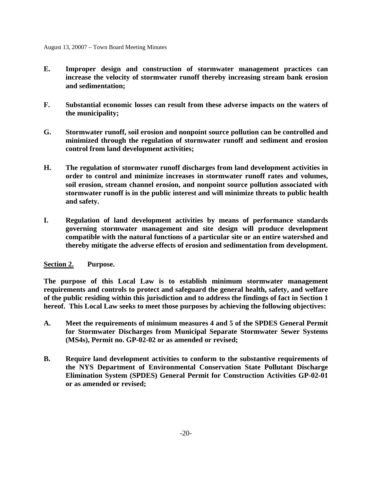- **E. Improper design and construction of stormwater management practices can increase the velocity of stormwater runoff thereby increasing stream bank erosion and sedimentation;**
- **F. Substantial economic losses can result from these adverse impacts on the waters of the municipality;**
- **G. Stormwater runoff, soil erosion and nonpoint source pollution can be controlled and minimized through the regulation of stormwater runoff and sediment and erosion control from land development activities;**
- **H. The regulation of stormwater runoff discharges from land development activities in order to control and minimize increases in stormwater runoff rates and volumes, soil erosion, stream channel erosion, and nonpoint source pollution associated with stormwater runoff is in the public interest and will minimize threats to public health and safety.**
- **I. Regulation of land development activities by means of performance standards governing stormwater management and site design will produce development compatible with the natural functions of a particular site or an entire watershed and thereby mitigate the adverse effects of erosion and sedimentation from development.**

# **Section 2. Purpose.**

**The purpose of this Local Law is to establish minimum stormwater management requirements and controls to protect and safeguard the general health, safety, and welfare of the public residing within this jurisdiction and to address the findings of fact in Section 1 hereof. This Local Law seeks to meet those purposes by achieving the following objectives:** 

- **A. Meet the requirements of minimum measures 4 and 5 of the SPDES General Permit for Stormwater Discharges from Municipal Separate Stormwater Sewer Systems (MS4s), Permit no. GP-02-02 or as amended or revised;**
- **B. Require land development activities to conform to the substantive requirements of the NYS Department of Environmental Conservation State Pollutant Discharge Elimination System (SPDES) General Permit for Construction Activities GP-02-01 or as amended or revised;**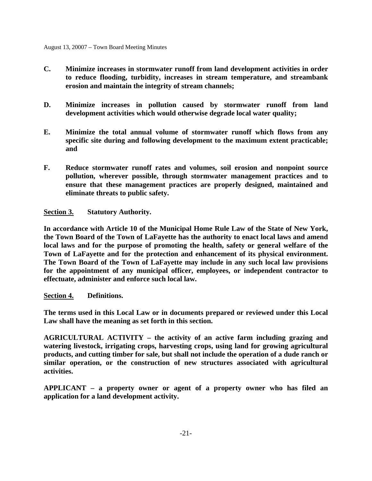- **C. Minimize increases in stormwater runoff from land development activities in order to reduce flooding, turbidity, increases in stream temperature, and streambank erosion and maintain the integrity of stream channels;**
- **D. Minimize increases in pollution caused by stormwater runoff from land development activities which would otherwise degrade local water quality;**
- **E. Minimize the total annual volume of stormwater runoff which flows from any specific site during and following development to the maximum extent practicable; and**
- **F. Reduce stormwater runoff rates and volumes, soil erosion and nonpoint source pollution, wherever possible, through stormwater management practices and to ensure that these management practices are properly designed, maintained and eliminate threats to public safety.**

**Section 3. Statutory Authority.** 

**In accordance with Article 10 of the Municipal Home Rule Law of the State of New York, the Town Board of the Town of LaFayette has the authority to enact local laws and amend local laws and for the purpose of promoting the health, safety or general welfare of the Town of LaFayette and for the protection and enhancement of its physical environment. The Town Board of the Town of LaFayette may include in any such local law provisions for the appointment of any municipal officer, employees, or independent contractor to effectuate, administer and enforce such local law.** 

# **Section 4. Definitions.**

**The terms used in this Local Law or in documents prepared or reviewed under this Local Law shall have the meaning as set forth in this section.** 

**AGRICULTURAL ACTIVITY – the activity of an active farm including grazing and watering livestock, irrigating crops, harvesting crops, using land for growing agricultural products, and cutting timber for sale, but shall not include the operation of a dude ranch or similar operation, or the construction of new structures associated with agricultural activities.** 

**APPLICANT – a property owner or agent of a property owner who has filed an application for a land development activity.**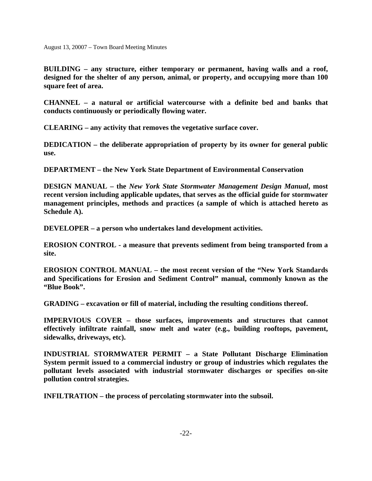**BUILDING – any structure, either temporary or permanent, having walls and a roof, designed for the shelter of any person, animal, or property, and occupying more than 100 square feet of area.** 

**CHANNEL – a natural or artificial watercourse with a definite bed and banks that conducts continuously or periodically flowing water.** 

**CLEARING – any activity that removes the vegetative surface cover.** 

**DEDICATION – the deliberate appropriation of property by its owner for general public use.** 

**DEPARTMENT – the New York State Department of Environmental Conservation** 

**DESIGN MANUAL – the** *New York State Stormwater Management Design Manual***, most recent version including applicable updates, that serves as the official guide for stormwater management principles, methods and practices (a sample of which is attached hereto as Schedule A).** 

**DEVELOPER – a person who undertakes land development activities.** 

**EROSION CONTROL - a measure that prevents sediment from being transported from a site.** 

**EROSION CONTROL MANUAL – the most recent version of the "New York Standards and Specifications for Erosion and Sediment Control" manual, commonly known as the "Blue Book".** 

**GRADING – excavation or fill of material, including the resulting conditions thereof.** 

**IMPERVIOUS COVER – those surfaces, improvements and structures that cannot effectively infiltrate rainfall, snow melt and water (e.g., building rooftops, pavement, sidewalks, driveways, etc).** 

**INDUSTRIAL STORMWATER PERMIT – a State Pollutant Discharge Elimination System permit issued to a commercial industry or group of industries which regulates the pollutant levels associated with industrial stormwater discharges or specifies on-site pollution control strategies.** 

**INFILTRATION – the process of percolating stormwater into the subsoil.**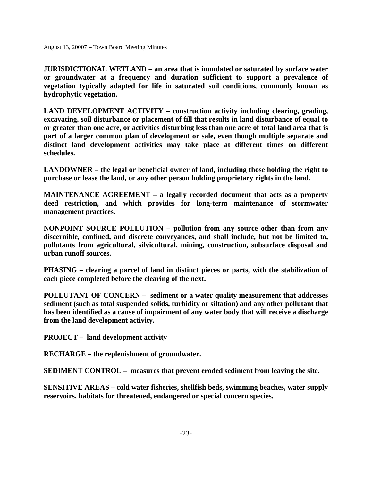**JURISDICTIONAL WETLAND – an area that is inundated or saturated by surface water or groundwater at a frequency and duration sufficient to support a prevalence of vegetation typically adapted for life in saturated soil conditions, commonly known as hydrophytic vegetation.** 

**LAND DEVELOPMENT ACTIVITY – construction activity including clearing, grading, excavating, soil disturbance or placement of fill that results in land disturbance of equal to or greater than one acre, or activities disturbing less than one acre of total land area that is part of a larger common plan of development or sale, even though multiple separate and distinct land development activities may take place at different times on different schedules.** 

**LANDOWNER – the legal or beneficial owner of land, including those holding the right to purchase or lease the land, or any other person holding proprietary rights in the land.** 

**MAINTENANCE AGREEMENT – a legally recorded document that acts as a property deed restriction, and which provides for long-term maintenance of stormwater management practices.** 

**NONPOINT SOURCE POLLUTION – pollution from any source other than from any discernible, confined, and discrete conveyances, and shall include, but not be limited to, pollutants from agricultural, silvicultural, mining, construction, subsurface disposal and urban runoff sources.** 

**PHASING – clearing a parcel of land in distinct pieces or parts, with the stabilization of each piece completed before the clearing of the next.** 

**POLLUTANT OF CONCERN – sediment or a water quality measurement that addresses sediment (such as total suspended solids, turbidity or siltation) and any other pollutant that has been identified as a cause of impairment of any water body that will receive a discharge from the land development activity.** 

**PROJECT – land development activity** 

**RECHARGE – the replenishment of groundwater.** 

**SEDIMENT CONTROL – measures that prevent eroded sediment from leaving the site.** 

**SENSITIVE AREAS – cold water fisheries, shellfish beds, swimming beaches, water supply reservoirs, habitats for threatened, endangered or special concern species.**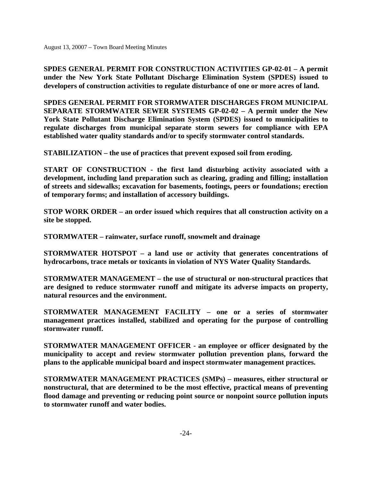**SPDES GENERAL PERMIT FOR CONSTRUCTION ACTIVITIES GP-02-01 – A permit under the New York State Pollutant Discharge Elimination System (SPDES) issued to developers of construction activities to regulate disturbance of one or more acres of land.** 

**SPDES GENERAL PERMIT FOR STORMWATER DISCHARGES FROM MUNICIPAL SEPARATE STORMWATER SEWER SYSTEMS GP-02-02 – A permit under the New York State Pollutant Discharge Elimination System (SPDES) issued to municipalities to regulate discharges from municipal separate storm sewers for compliance with EPA established water quality standards and/or to specify stormwater control standards.** 

**STABILIZATION – the use of practices that prevent exposed soil from eroding.** 

**START OF CONSTRUCTION - the first land disturbing activity associated with a development, including land preparation such as clearing, grading and filling; installation of streets and sidewalks; excavation for basements, footings, peers or foundations; erection of temporary forms; and installation of accessory buildings.** 

**STOP WORK ORDER – an order issued which requires that all construction activity on a site be stopped.** 

**STORMWATER – rainwater, surface runoff, snowmelt and drainage** 

**STORMWATER HOTSPOT – a land use or activity that generates concentrations of hydrocarbons, trace metals or toxicants in violation of NYS Water Quality Standards.** 

**STORMWATER MANAGEMENT – the use of structural or non-structural practices that are designed to reduce stormwater runoff and mitigate its adverse impacts on property, natural resources and the environment.** 

**STORMWATER MANAGEMENT FACILITY – one or a series of stormwater management practices installed, stabilized and operating for the purpose of controlling stormwater runoff.** 

**STORMWATER MANAGEMENT OFFICER - an employee or officer designated by the municipality to accept and review stormwater pollution prevention plans, forward the plans to the applicable municipal board and inspect stormwater management practices.** 

**STORMWATER MANAGEMENT PRACTICES (SMPs) – measures, either structural or nonstructural, that are determined to be the most effective, practical means of preventing flood damage and preventing or reducing point source or nonpoint source pollution inputs to stormwater runoff and water bodies.**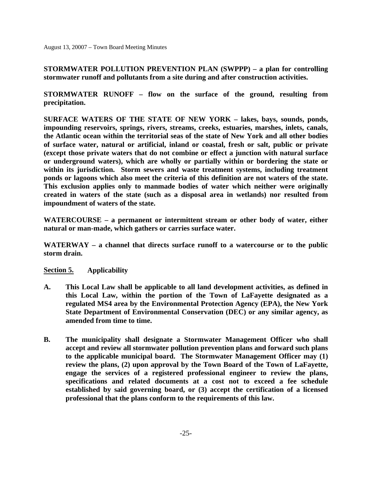**STORMWATER POLLUTION PREVENTION PLAN (SWPPP) – a plan for controlling stormwater runoff and pollutants from a site during and after construction activities.** 

**STORMWATER RUNOFF – flow on the surface of the ground, resulting from precipitation.** 

**SURFACE WATERS OF THE STATE OF NEW YORK – lakes, bays, sounds, ponds, impounding reservoirs, springs, rivers, streams, creeks, estuaries, marshes, inlets, canals, the Atlantic ocean within the territorial seas of the state of New York and all other bodies of surface water, natural or artificial, inland or coastal, fresh or salt, public or private (except those private waters that do not combine or effect a junction with natural surface or underground waters), which are wholly or partially within or bordering the state or within its jurisdiction. Storm sewers and waste treatment systems, including treatment ponds or lagoons which also meet the criteria of this definition are not waters of the state. This exclusion applies only to manmade bodies of water which neither were originally created in waters of the state (such as a disposal area in wetlands) nor resulted from impoundment of waters of the state.** 

**WATERCOURSE – a permanent or intermittent stream or other body of water, either natural or man-made, which gathers or carries surface water.** 

**WATERWAY – a channel that directs surface runoff to a watercourse or to the public storm drain.** 

**Section 5. Applicability** 

- **A. This Local Law shall be applicable to all land development activities, as defined in this Local Law, within the portion of the Town of LaFayette designated as a regulated MS4 area by the Environmental Protection Agency (EPA), the New York State Department of Environmental Conservation (DEC) or any similar agency, as amended from time to time.**
- **B. The municipality shall designate a Stormwater Management Officer who shall accept and review all stormwater pollution prevention plans and forward such plans to the applicable municipal board. The Stormwater Management Officer may (1) review the plans, (2) upon approval by the Town Board of the Town of LaFayette, engage the services of a registered professional engineer to review the plans, specifications and related documents at a cost not to exceed a fee schedule established by said governing board, or (3) accept the certification of a licensed professional that the plans conform to the requirements of this law.**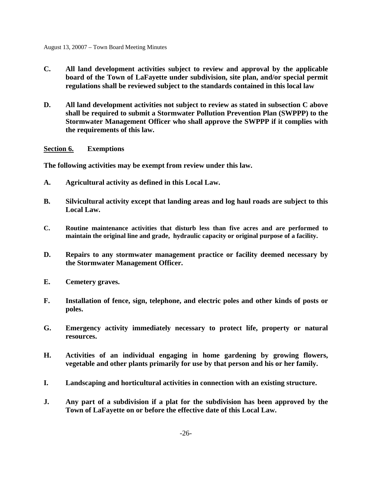- **C. All land development activities subject to review and approval by the applicable board of the Town of LaFayette under subdivision, site plan, and/or special permit regulations shall be reviewed subject to the standards contained in this local law**
- **D. All land development activities not subject to review as stated in subsection C above shall be required to submit a Stormwater Pollution Prevention Plan (SWPPP) to the Stormwater Management Officer who shall approve the SWPPP if it complies with the requirements of this law.**

**Section 6. Exemptions** 

**The following activities may be exempt from review under this law.** 

- **A. Agricultural activity as defined in this Local Law.**
- **B. Silvicultural activity except that landing areas and log haul roads are subject to this Local Law.**
- **C. Routine maintenance activities that disturb less than five acres and are performed to maintain the original line and grade, hydraulic capacity or original purpose of a facility.**
- **D. Repairs to any stormwater management practice or facility deemed necessary by the Stormwater Management Officer.**
- **E. Cemetery graves.**
- **F. Installation of fence, sign, telephone, and electric poles and other kinds of posts or poles.**
- **G. Emergency activity immediately necessary to protect life, property or natural resources.**
- **H. Activities of an individual engaging in home gardening by growing flowers, vegetable and other plants primarily for use by that person and his or her family.**
- **I. Landscaping and horticultural activities in connection with an existing structure.**
- **J. Any part of a subdivision if a plat for the subdivision has been approved by the Town of LaFayette on or before the effective date of this Local Law.**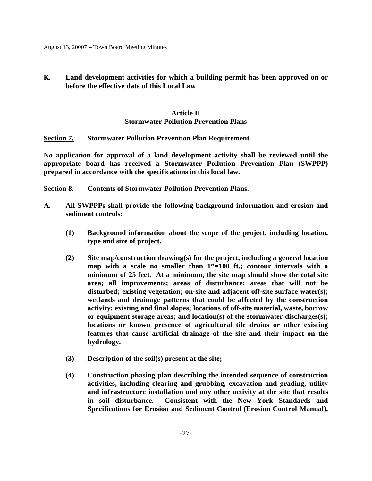**K. Land development activities for which a building permit has been approved on or before the effective date of this Local Law**

# **Article II Stormwater Pollution Prevention Plans**

# **Section 7. Stormwater Pollution Prevention Plan Requirement**

**No application for approval of a land development activity shall be reviewed until the appropriate board has received a Stormwater Pollution Prevention Plan (SWPPP) prepared in accordance with the specifications in this local law.** 

- **Section 8. Contents of Stormwater Pollution Prevention Plans.**
- **A. All SWPPPs shall provide the following background information and erosion and sediment controls:** 
	- **(1) Background information about the scope of the project, including location, type and size of project.**
	- **(2) Site map/construction drawing(s) for the project, including a general location map with a scale no smaller than 1"=100 ft.; contour intervals with a minimum of 25 feet. At a minimum, the site map should show the total site area; all improvements; areas of disturbance; areas that will not be disturbed; existing vegetation; on-site and adjacent off-site surface water(s); wetlands and drainage patterns that could be affected by the construction activity; existing and final slopes; locations of off-site material, waste, borrow or equipment storage areas; and location(s) of the stormwater discharges(s); locations or known presence of agricultural tile drains or other existing features that cause artificial drainage of the site and their impact on the hydrology.**
	- **(3) Description of the soil(s) present at the site;**
	- **(4) Construction phasing plan describing the intended sequence of construction activities, including clearing and grubbing, excavation and grading, utility and infrastructure installation and any other activity at the site that results in soil disturbance. Consistent with the New York Standards and Specifications for Erosion and Sediment Control (Erosion Control Manual),**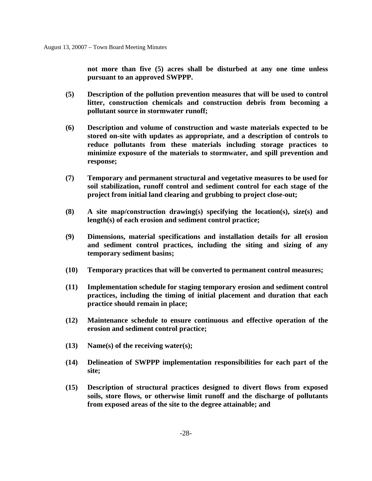**not more than five (5) acres shall be disturbed at any one time unless pursuant to an approved SWPPP.** 

- **(5) Description of the pollution prevention measures that will be used to control litter, construction chemicals and construction debris from becoming a pollutant source in stormwater runoff;**
- **(6) Description and volume of construction and waste materials expected to be stored on-site with updates as appropriate, and a description of controls to reduce pollutants from these materials including storage practices to minimize exposure of the materials to stormwater, and spill prevention and response;**
- **(7) Temporary and permanent structural and vegetative measures to be used for soil stabilization, runoff control and sediment control for each stage of the project from initial land clearing and grubbing to project close-out;**
- **(8) A site map/construction drawing(s) specifying the location(s), size(s) and length(s) of each erosion and sediment control practice;**
- **(9) Dimensions, material specifications and installation details for all erosion and sediment control practices, including the siting and sizing of any temporary sediment basins;**
- **(10) Temporary practices that will be converted to permanent control measures;**
- **(11) Implementation schedule for staging temporary erosion and sediment control practices, including the timing of initial placement and duration that each practice should remain in place;**
- **(12) Maintenance schedule to ensure continuous and effective operation of the erosion and sediment control practice;**
- **(13) Name(s) of the receiving water(s);**
- **(14) Delineation of SWPPP implementation responsibilities for each part of the site;**
- **(15) Description of structural practices designed to divert flows from exposed soils, store flows, or otherwise limit runoff and the discharge of pollutants from exposed areas of the site to the degree attainable; and**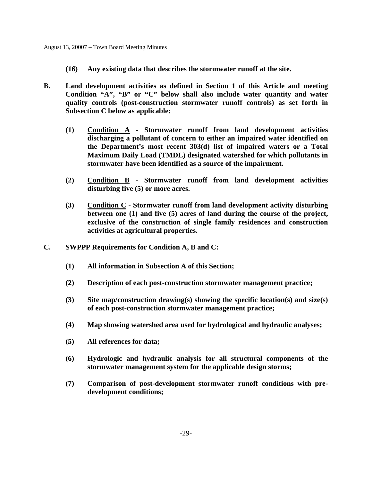- **(16) Any existing data that describes the stormwater runoff at the site.**
- **B. Land development activities as defined in Section 1 of this Article and meeting Condition "A", "B" or "C" below shall also include water quantity and water quality controls (post-construction stormwater runoff controls) as set forth in Subsection C below as applicable:** 
	- **(1) Condition A Stormwater runoff from land development activities discharging a pollutant of concern to either an impaired water identified on the Department's most recent 303(d) list of impaired waters or a Total Maximum Daily Load (TMDL) designated watershed for which pollutants in stormwater have been identified as a source of the impairment.**
	- **(2) Condition B Stormwater runoff from land development activities disturbing five (5) or more acres.**
	- **(3) Condition C Stormwater runoff from land development activity disturbing between one (1) and five (5) acres of land during the course of the project, exclusive of the construction of single family residences and construction activities at agricultural properties.**
- **C. SWPPP Requirements for Condition A, B and C:** 
	- **(1) All information in Subsection A of this Section;**
	- **(2) Description of each post-construction stormwater management practice;**
	- **(3) Site map/construction drawing(s) showing the specific location(s) and size(s) of each post-construction stormwater management practice;**
	- **(4) Map showing watershed area used for hydrological and hydraulic analyses;**
	- **(5) All references for data;**
	- **(6) Hydrologic and hydraulic analysis for all structural components of the stormwater management system for the applicable design storms;**
	- **(7) Comparison of post-development stormwater runoff conditions with predevelopment conditions;**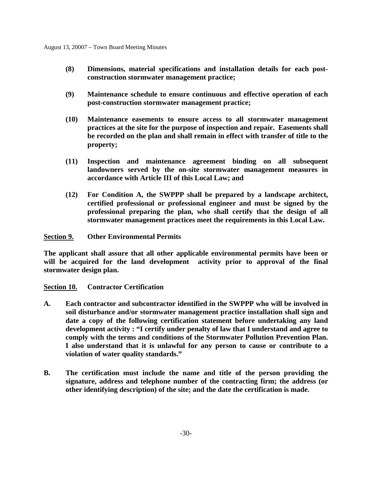- **(8) Dimensions, material specifications and installation details for each postconstruction stormwater management practice;**
- **(9) Maintenance schedule to ensure continuous and effective operation of each post-construction stormwater management practice;**
- **(10) Maintenance easements to ensure access to all stormwater management practices at the site for the purpose of inspection and repair. Easements shall be recorded on the plan and shall remain in effect with transfer of title to the property;**
- **(11) Inspection and maintenance agreement binding on all subsequent landowners served by the on-site stormwater management measures in accordance with Article III of this Local Law; and**
- **(12) For Condition A, the SWPPP shall be prepared by a landscape architect, certified professional or professional engineer and must be signed by the professional preparing the plan, who shall certify that the design of all stormwater management practices meet the requirements in this Local Law.**

**Section 9. Other Environmental Permits** 

**The applicant shall assure that all other applicable environmental permits have been or will be acquired for the land development activity prior to approval of the final stormwater design plan.** 

# **Section 10. Contractor Certification**

- **A. Each contractor and subcontractor identified in the SWPPP who will be involved in soil disturbance and/or stormwater management practice installation shall sign and date a copy of the following certification statement before undertaking any land development activity : "I certify under penalty of law that I understand and agree to comply with the terms and conditions of the Stormwater Pollution Prevention Plan. I also understand that it is unlawful for any person to cause or contribute to a violation of water quality standards."**
- **B. The certification must include the name and title of the person providing the signature, address and telephone number of the contracting firm; the address (or other identifying description) of the site; and the date the certification is made.**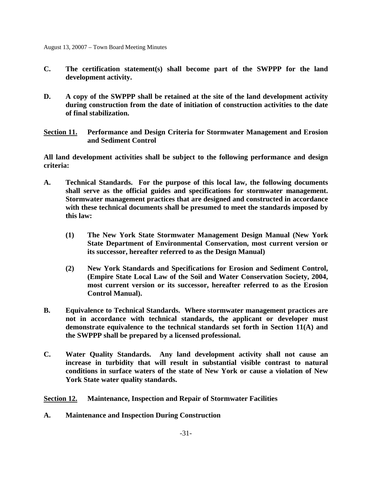- **C. The certification statement(s) shall become part of the SWPPP for the land development activity.**
- **D. A copy of the SWPPP shall be retained at the site of the land development activity during construction from the date of initiation of construction activities to the date of final stabilization.**

**Section 11. Performance and Design Criteria for Stormwater Management and Erosion and Sediment Control** 

**All land development activities shall be subject to the following performance and design criteria:** 

- **A. Technical Standards. For the purpose of this local law, the following documents shall serve as the official guides and specifications for stormwater management. Stormwater management practices that are designed and constructed in accordance with these technical documents shall be presumed to meet the standards imposed by this law:** 
	- **(1) The New York State Stormwater Management Design Manual (New York State Department of Environmental Conservation, most current version or its successor, hereafter referred to as the Design Manual)**
	- **(2) New York Standards and Specifications for Erosion and Sediment Control, (Empire State Local Law of the Soil and Water Conservation Society, 2004, most current version or its successor, hereafter referred to as the Erosion Control Manual).**
- **B. Equivalence to Technical Standards. Where stormwater management practices are not in accordance with technical standards, the applicant or developer must demonstrate equivalence to the technical standards set forth in Section 11(A) and the SWPPP shall be prepared by a licensed professional.**
- **C. Water Quality Standards. Any land development activity shall not cause an increase in turbidity that will result in substantial visible contrast to natural conditions in surface waters of the state of New York or cause a violation of New York State water quality standards.**

**Section 12. Maintenance, Inspection and Repair of Stormwater Facilities** 

**A. Maintenance and Inspection During Construction**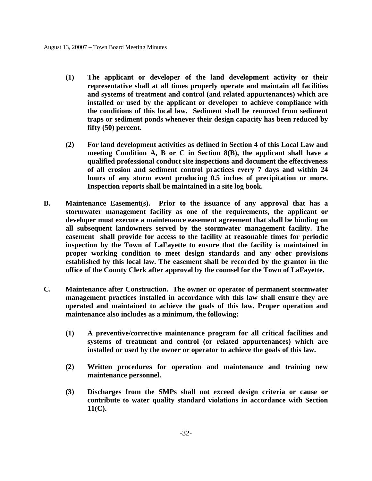- **(1) The applicant or developer of the land development activity or their representative shall at all times properly operate and maintain all facilities and systems of treatment and control (and related appurtenances) which are installed or used by the applicant or developer to achieve compliance with the conditions of this local law. Sediment shall be removed from sediment traps or sediment ponds whenever their design capacity has been reduced by fifty (50) percent.**
- **(2) For land development activities as defined in Section 4 of this Local Law and meeting Condition A, B or C in Section 8(B), the applicant shall have a qualified professional conduct site inspections and document the effectiveness of all erosion and sediment control practices every 7 days and within 24 hours of any storm event producing 0.5 inches of precipitation or more. Inspection reports shall be maintained in a site log book.**
- **B. Maintenance Easement(s). Prior to the issuance of any approval that has a stormwater management facility as one of the requirements, the applicant or developer must execute a maintenance easement agreement that shall be binding on all subsequent landowners served by the stormwater management facility. The easement shall provide for access to the facility at reasonable times for periodic inspection by the Town of LaFayette to ensure that the facility is maintained in proper working condition to meet design standards and any other provisions established by this local law. The easement shall be recorded by the grantor in the office of the County Clerk after approval by the counsel for the Town of LaFayette.**
- **C. Maintenance after Construction. The owner or operator of permanent stormwater management practices installed in accordance with this law shall ensure they are operated and maintained to achieve the goals of this law. Proper operation and maintenance also includes as a minimum, the following:** 
	- **(1) A preventive/corrective maintenance program for all critical facilities and systems of treatment and control (or related appurtenances) which are installed or used by the owner or operator to achieve the goals of this law.**
	- **(2) Written procedures for operation and maintenance and training new maintenance personnel.**
	- **(3) Discharges from the SMPs shall not exceed design criteria or cause or contribute to water quality standard violations in accordance with Section 11(C).**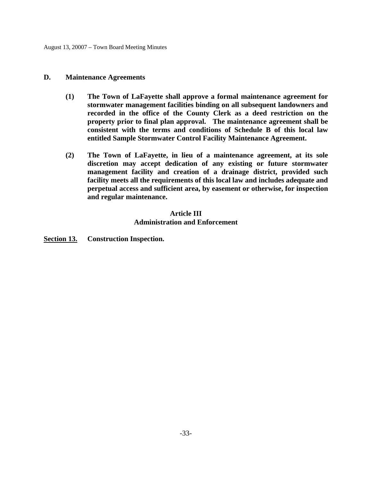### **D. Maintenance Agreements**

- **(1) The Town of LaFayette shall approve a formal maintenance agreement for stormwater management facilities binding on all subsequent landowners and recorded in the office of the County Clerk as a deed restriction on the property prior to final plan approval. The maintenance agreement shall be consistent with the terms and conditions of Schedule B of this local law entitled Sample Stormwater Control Facility Maintenance Agreement.**
- **(2) The Town of LaFayette, in lieu of a maintenance agreement, at its sole discretion may accept dedication of any existing or future stormwater management facility and creation of a drainage district, provided such facility meets all the requirements of this local law and includes adequate and perpetual access and sufficient area, by easement or otherwise, for inspection and regular maintenance.**

# **Article III Administration and Enforcement**

**Section 13. Construction Inspection.**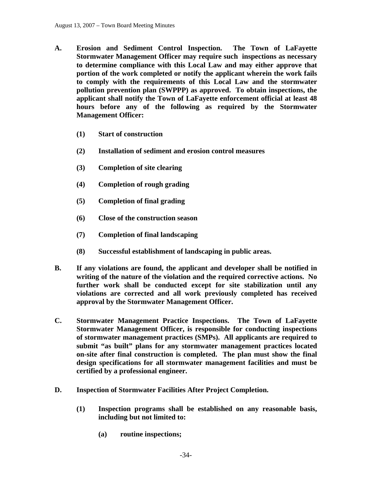- **A. Erosion and Sediment Control Inspection. The Town of LaFayette Stormwater Management Officer may require such inspections as necessary to determine compliance with this Local Law and may either approve that portion of the work completed or notify the applicant wherein the work fails to comply with the requirements of this Local Law and the stormwater pollution prevention plan (SWPPP) as approved. To obtain inspections, the applicant shall notify the Town of LaFayette enforcement official at least 48 hours before any of the following as required by the Stormwater Management Officer:** 
	- **(1) Start of construction**
	- **(2) Installation of sediment and erosion control measures**
	- **(3) Completion of site clearing**
	- **(4) Completion of rough grading**
	- **(5) Completion of final grading**
	- **(6) Close of the construction season**
	- **(7) Completion of final landscaping**
	- **(8) Successful establishment of landscaping in public areas.**
- **B. If any violations are found, the applicant and developer shall be notified in writing of the nature of the violation and the required corrective actions. No further work shall be conducted except for site stabilization until any violations are corrected and all work previously completed has received approval by the Stormwater Management Officer.**
- **C. Stormwater Management Practice Inspections. The Town of LaFayette Stormwater Management Officer, is responsible for conducting inspections of stormwater management practices (SMPs). All applicants are required to submit "as built" plans for any stormwater management practices located on-site after final construction is completed. The plan must show the final design specifications for all stormwater management facilities and must be certified by a professional engineer.**
- **D. Inspection of Stormwater Facilities After Project Completion.** 
	- **(1) Inspection programs shall be established on any reasonable basis, including but not limited to:** 
		- **(a) routine inspections;**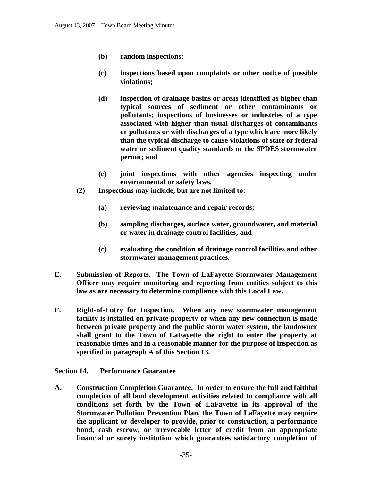- **(b) random inspections;**
- **(c) inspections based upon complaints or other notice of possible violations;**
- **(d) inspection of drainage basins or areas identified as higher than typical sources of sediment or other contaminants or pollutants; inspections of businesses or industries of a type associated with higher than usual discharges of contaminants or pollutants or with discharges of a type which are more likely than the typical discharge to cause violations of state or federal water or sediment quality standards or the SPDES stormwater permit; and**
- **(e) joint inspections with other agencies inspecting under environmental or safety laws.**
- **(2) Inspections may include, but are not limited to:** 
	- **(a) reviewing maintenance and repair records;**
	- **(b) sampling discharges, surface water, groundwater, and material or water in drainage control facilities; and**
	- **(c) evaluating the condition of drainage control facilities and other stormwater management practices.**
- **E. Submission of Reports. The Town of LaFayette Stormwater Management Officer may require monitoring and reporting from entities subject to this law as are necessary to determine compliance with this Local Law.**
- **F. Right-of-Entry for Inspection. When any new stormwater management facility is installed on private property or when any new connection is made between private property and the public storm water system, the landowner shall grant to the Town of LaFayette the right to enter the property at reasonable times and in a reasonable manner for the purpose of inspection as specified in paragraph A of this Section 13.**

**Section 14. Performance Guarantee** 

**A. Construction Completion Guarantee. In order to ensure the full and faithful completion of all land development activities related to compliance with all conditions set forth by the Town of LaFayette in its approval of the Stormwater Pollution Prevention Plan, the Town of LaFayette may require the applicant or developer to provide, prior to construction, a performance bond, cash escrow, or irrevocable letter of credit from an appropriate financial or surety institution which guarantees satisfactory completion of**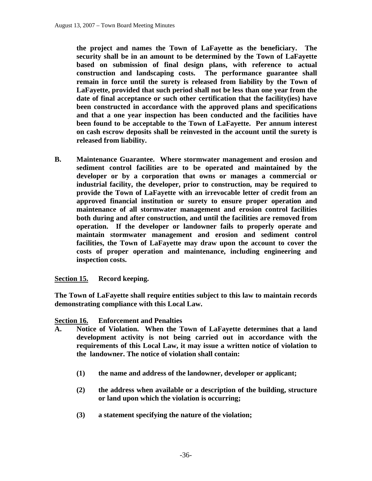**the project and names the Town of LaFayette as the beneficiary. The security shall be in an amount to be determined by the Town of LaFayette based on submission of final design plans, with reference to actual construction and landscaping costs. The performance guarantee shall remain in force until the surety is released from liability by the Town of LaFayette, provided that such period shall not be less than one year from the date of final acceptance or such other certification that the facility(ies) have been constructed in accordance with the approved plans and specifications and that a one year inspection has been conducted and the facilities have been found to be acceptable to the Town of LaFayette. Per annum interest on cash escrow deposits shall be reinvested in the account until the surety is released from liability.** 

**B. Maintenance Guarantee. Where stormwater management and erosion and sediment control facilities are to be operated and maintained by the developer or by a corporation that owns or manages a commercial or industrial facility, the developer, prior to construction, may be required to provide the Town of LaFayette with an irrevocable letter of credit from an approved financial institution or surety to ensure proper operation and maintenance of all stormwater management and erosion control facilities both during and after construction, and until the facilities are removed from operation. If the developer or landowner fails to properly operate and maintain stormwater management and erosion and sediment control facilities, the Town of LaFayette may draw upon the account to cover the costs of proper operation and maintenance, including engineering and inspection costs.** 

**Section 15. Record keeping.** 

**The Town of LaFayette shall require entities subject to this law to maintain records demonstrating compliance with this Local Law.** 

# **Section 16. Enforcement and Penalties**

- **A. Notice of Violation. When the Town of LaFayette determines that a land development activity is not being carried out in accordance with the requirements of this Local Law, it may issue a written notice of violation to the landowner. The notice of violation shall contain:** 
	- **(1) the name and address of the landowner, developer or applicant;**
	- **(2) the address when available or a description of the building, structure or land upon which the violation is occurring;**
	- **(3) a statement specifying the nature of the violation;**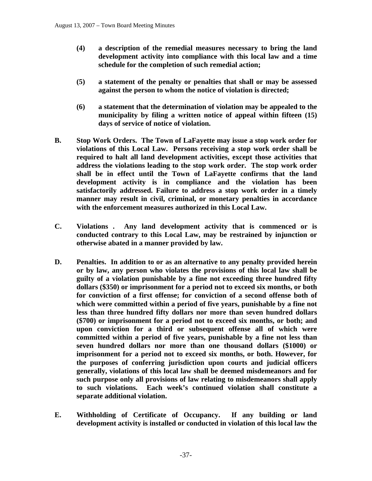- **(4) a description of the remedial measures necessary to bring the land development activity into compliance with this local law and a time schedule for the completion of such remedial action;**
- **(5) a statement of the penalty or penalties that shall or may be assessed against the person to whom the notice of violation is directed;**
- **(6) a statement that the determination of violation may be appealed to the municipality by filing a written notice of appeal within fifteen (15) days of service of notice of violation.**
- **B. Stop Work Orders. The Town of LaFayette may issue a stop work order for violations of this Local Law. Persons receiving a stop work order shall be required to halt all land development activities, except those activities that address the violations leading to the stop work order. The stop work order shall be in effect until the Town of LaFayette confirms that the land development activity is in compliance and the violation has been satisfactorily addressed. Failure to address a stop work order in a timely manner may result in civil, criminal, or monetary penalties in accordance with the enforcement measures authorized in this Local Law.**
- **C. Violations . Any land development activity that is commenced or is conducted contrary to this Local Law, may be restrained by injunction or otherwise abated in a manner provided by law.**
- **D. Penalties. In addition to or as an alternative to any penalty provided herein or by law, any person who violates the provisions of this local law shall be guilty of a violation punishable by a fine not exceeding three hundred fifty dollars (\$350) or imprisonment for a period not to exceed six months, or both for conviction of a first offense; for conviction of a second offense both of which were committed within a period of five years, punishable by a fine not less than three hundred fifty dollars nor more than seven hundred dollars (\$700) or imprisonment for a period not to exceed six months, or both; and upon conviction for a third or subsequent offense all of which were committed within a period of five years, punishable by a fine not less than seven hundred dollars nor more than one thousand dollars (\$1000) or imprisonment for a period not to exceed six months, or both. However, for the purposes of conferring jurisdiction upon courts and judicial officers generally, violations of this local law shall be deemed misdemeanors and for such purpose only all provisions of law relating to misdemeanors shall apply to such violations. Each week's continued violation shall constitute a separate additional violation.**
- **E. Withholding of Certificate of Occupancy. If any building or land development activity is installed or conducted in violation of this local law the**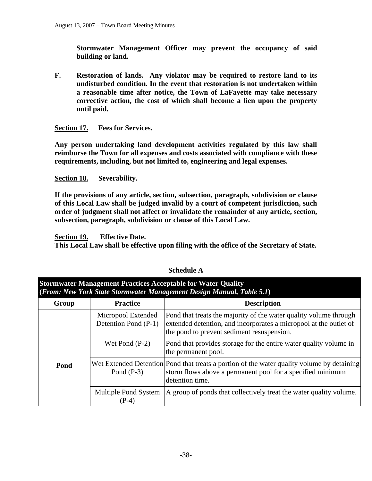**Stormwater Management Officer may prevent the occupancy of said building or land.** 

**F. Restoration of lands. Any violator may be required to restore land to its undisturbed condition. In the event that restoration is not undertaken within a reasonable time after notice, the Town of LaFayette may take necessary corrective action, the cost of which shall become a lien upon the property until paid.** 

**Section 17. Fees for Services.** 

**Any person undertaking land development activities regulated by this law shall reimburse the Town for all expenses and costs associated with compliance with these requirements, including, but not limited to, engineering and legal expenses.** 

**Section 18. Severability.** 

**If the provisions of any article, section, subsection, paragraph, subdivision or clause of this Local Law shall be judged invalid by a court of competent jurisdiction, such order of judgment shall not affect or invalidate the remainder of any article, section, subsection, paragraph, subdivision or clause of this Local Law.** 

**Section 19. Effective Date.** 

**This Local Law shall be effective upon filing with the office of the Secretary of State.** 

| (From: New York State Stormwater Management Design Manual, Table 5.1) |                                            |                                                                                                                                                                                      |  |
|-----------------------------------------------------------------------|--------------------------------------------|--------------------------------------------------------------------------------------------------------------------------------------------------------------------------------------|--|
| Group                                                                 | <b>Practice</b>                            | <b>Description</b>                                                                                                                                                                   |  |
|                                                                       | Micropool Extended<br>Detention Pond (P-1) | Pond that treats the majority of the water quality volume through<br>extended detention, and incorporates a micropool at the outlet of<br>the pond to prevent sediment resuspension. |  |
|                                                                       | Wet Pond $(P-2)$                           | Pond that provides storage for the entire water quality volume in<br>the permanent pool.                                                                                             |  |
| Pond                                                                  | Pond $(P-3)$                               | Wet Extended Detention Pond that treats a portion of the water quality volume by detaining<br>storm flows above a permanent pool for a specified minimum<br>detention time.          |  |
|                                                                       | Multiple Pond System<br>$(P-4)$            | A group of ponds that collectively treat the water quality volume.                                                                                                                   |  |

### **Schedule A**

**Stormwater Management Practices Acceptable for Water Quality**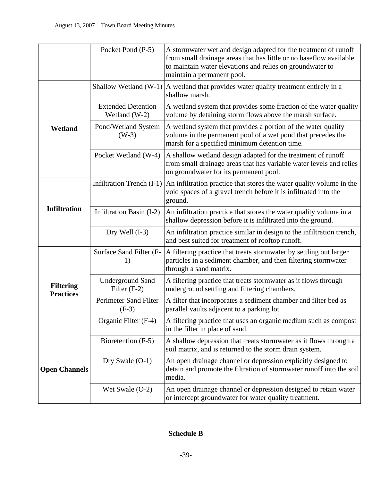|                                      | Pocket Pond (P-5)                          | A stormwater wetland design adapted for the treatment of runoff<br>from small drainage areas that has little or no baseflow available<br>to maintain water elevations and relies on groundwater to<br>maintain a permanent pool. |
|--------------------------------------|--------------------------------------------|----------------------------------------------------------------------------------------------------------------------------------------------------------------------------------------------------------------------------------|
|                                      | Shallow Wetland (W-1)                      | A wetland that provides water quality treatment entirely in a<br>shallow marsh.                                                                                                                                                  |
|                                      | <b>Extended Detention</b><br>Wetland (W-2) | A wetland system that provides some fraction of the water quality<br>volume by detaining storm flows above the marsh surface.                                                                                                    |
| Wetland                              | Pond/Wetland System<br>$(W-3)$             | A wetland system that provides a portion of the water quality<br>volume in the permanent pool of a wet pond that precedes the<br>marsh for a specified minimum detention time.                                                   |
|                                      | Pocket Wetland (W-4)                       | A shallow wetland design adapted for the treatment of runoff<br>from small drainage areas that has variable water levels and relies<br>on groundwater for its permanent pool.                                                    |
|                                      | Infiltration Trench (I-1)                  | An infiltration practice that stores the water quality volume in the<br>void spaces of a gravel trench before it is infiltrated into the<br>ground.                                                                              |
| <b>Infiltration</b>                  | Infiltration Basin (I-2)                   | An infiltration practice that stores the water quality volume in a<br>shallow depression before it is infiltrated into the ground.                                                                                               |
|                                      | Dry Well $(I-3)$                           | An infiltration practice similar in design to the infiltration trench,<br>and best suited for treatment of rooftop runoff.                                                                                                       |
|                                      | Surface Sand Filter (F-<br>1)              | A filtering practice that treats stormwater by settling out larger<br>particles in a sediment chamber, and then filtering stormwater<br>through a sand matrix.                                                                   |
| <b>Filtering</b><br><b>Practices</b> | <b>Underground Sand</b><br>Filter $(F-2)$  | A filtering practice that treats stormwater as it flows through<br>underground settling and filtering chambers.                                                                                                                  |
|                                      | Perimeter Sand Filter<br>$(F-3)$           | A filter that incorporates a sediment chamber and filter bed as<br>parallel vaults adjacent to a parking lot.                                                                                                                    |
|                                      | Organic Filter (F-4)                       | A filtering practice that uses an organic medium such as compost<br>in the filter in place of sand.                                                                                                                              |
|                                      | Bioretention (F-5)                         | A shallow depression that treats stormwater as it flows through a<br>soil matrix, and is returned to the storm drain system.                                                                                                     |
| <b>Open Channels</b>                 | Dry Swale $(O-1)$                          | An open drainage channel or depression explicitly designed to<br>detain and promote the filtration of stormwater runoff into the soil<br>media.                                                                                  |
|                                      | Wet Swale $(O-2)$                          | An open drainage channel or depression designed to retain water<br>or intercept groundwater for water quality treatment.                                                                                                         |

# **Schedule B**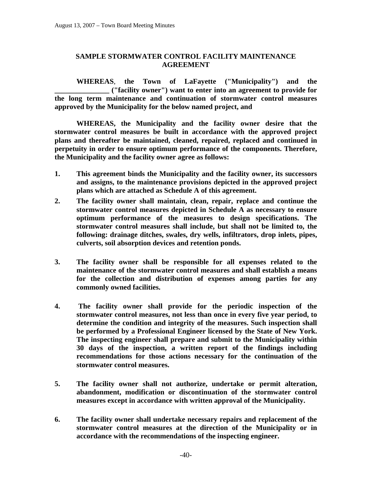# **SAMPLE STORMWATER CONTROL FACILITY MAINTENANCE AGREEMENT**

 **WHEREAS**, **the Town of LaFayette ("Municipality") and the \_\_\_\_\_\_\_\_\_\_\_\_\_\_\_ ("facility owner") want to enter into an agreement to provide for the long term maintenance and continuation of stormwater control measures approved by the Municipality for the below named project, and** 

 **WHEREAS, the Municipality and the facility owner desire that the stormwater control measures be built in accordance with the approved project plans and thereafter be maintained, cleaned, repaired, replaced and continued in perpetuity in order to ensure optimum performance of the components. Therefore, the Municipality and the facility owner agree as follows:** 

- **1. This agreement binds the Municipality and the facility owner, its successors and assigns, to the maintenance provisions depicted in the approved project plans which are attached as Schedule A of this agreement.**
- **2. The facility owner shall maintain, clean, repair, replace and continue the stormwater control measures depicted in Schedule A as necessary to ensure optimum performance of the measures to design specifications. The stormwater control measures shall include, but shall not be limited to, the following: drainage ditches, swales, dry wells, infiltrators, drop inlets, pipes, culverts, soil absorption devices and retention ponds.**
- **3. The facility owner shall be responsible for all expenses related to the maintenance of the stormwater control measures and shall establish a means for the collection and distribution of expenses among parties for any commonly owned facilities.**
- **4. The facility owner shall provide for the periodic inspection of the stormwater control measures, not less than once in every five year period, to determine the condition and integrity of the measures. Such inspection shall be performed by a Professional Engineer licensed by the State of New York. The inspecting engineer shall prepare and submit to the Municipality within 30 days of the inspection, a written report of the findings including recommendations for those actions necessary for the continuation of the stormwater control measures.**
- **5. The facility owner shall not authorize, undertake or permit alteration, abandonment, modification or discontinuation of the stormwater control measures except in accordance with written approval of the Municipality.**
- **6. The facility owner shall undertake necessary repairs and replacement of the stormwater control measures at the direction of the Municipality or in accordance with the recommendations of the inspecting engineer.**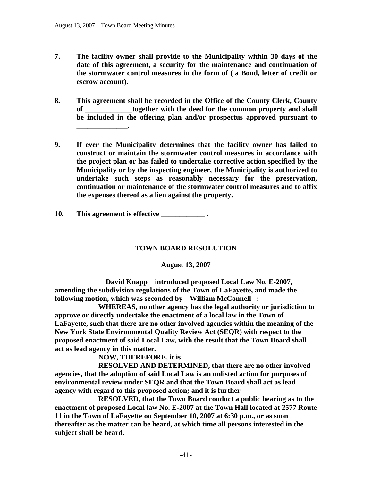**\_\_\_\_\_\_\_\_\_\_\_\_\_\_.** 

- **7. The facility owner shall provide to the Municipality within 30 days of the date of this agreement, a security for the maintenance and continuation of the stormwater control measures in the form of ( a Bond, letter of credit or escrow account).**
- **8. This agreement shall be recorded in the Office of the County Clerk, County**  together with the deed for the common property and shall **be included in the offering plan and/or prospectus approved pursuant to**
- **9. If ever the Municipality determines that the facility owner has failed to construct or maintain the stormwater control measures in accordance with the project plan or has failed to undertake corrective action specified by the Municipality or by the inspecting engineer, the Municipality is authorized to undertake such steps as reasonably necessary for the preservation, continuation or maintenance of the stormwater control measures and to affix the expenses thereof as a lien against the property.**
- **10. This agreement is effective \_\_\_\_\_\_\_\_\_\_\_\_ .**

# **TOWN BOARD RESOLUTION**

# **August 13, 2007**

 **David Knapp introduced proposed Local Law No. E-2007, amending the subdivision regulations of the Town of LaFayette, and made the following motion, which was seconded by William McConnell :** 

 **WHEREAS, no other agency has the legal authority or jurisdiction to approve or directly undertake the enactment of a local law in the Town of LaFayette, such that there are no other involved agencies within the meaning of the New York State Environmental Quality Review Act (SEQR) with respect to the proposed enactment of said Local Law, with the result that the Town Board shall act as lead agency in this matter.** 

 **NOW, THEREFORE, it is** 

 **RESOLVED AND DETERMINED, that there are no other involved agencies, that the adoption of said Local Law is an unlisted action for purposes of environmental review under SEQR and that the Town Board shall act as lead agency with regard to this proposed action; and it is further** 

 **RESOLVED, that the Town Board conduct a public hearing as to the enactment of proposed Local law No. E-2007 at the Town Hall located at 2577 Route 11 in the Town of LaFayette on September 10, 2007 at 6:30 p.m., or as soon thereafter as the matter can be heard, at which time all persons interested in the subject shall be heard.**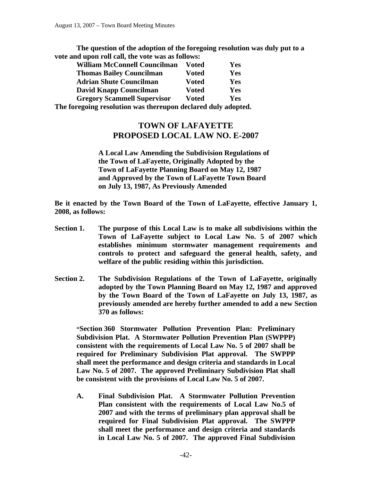**The question of the adoption of the foregoing resolution was duly put to a vote and upon roll call, the vote was as follows:** 

| <b>William McConnell Councilman</b> | <b>Voted</b> | Yes |
|-------------------------------------|--------------|-----|
| <b>Thomas Bailey Councilman</b>     | <b>Voted</b> | Yes |
| <b>Adrian Shute Councilman</b>      | <b>Voted</b> | Yes |
| David Knapp Councilman              | <b>Voted</b> | Yes |
| <b>Gregory Scammell Supervisor</b>  | <b>Voted</b> | Yes |
|                                     |              |     |

**The foregoing resolution was thereupon declared duly adopted.** 

# **TOWN OF LAFAYETTE PROPOSED LOCAL LAW NO. E-2007**

**A Local Law Amending the Subdivision Regulations of the Town of LaFayette, Originally Adopted by the Town of LaFayette Planning Board on May 12, 1987 and Approved by the Town of LaFayette Town Board on July 13, 1987, As Previously Amended**

**Be it enacted by the Town Board of the Town of LaFayette, effective January 1, 2008, as follows:** 

- **Section 1. The purpose of this Local Law is to make all subdivisions within the Town of LaFayette subject to Local Law No. 5 of 2007 which establishes minimum stormwater management requirements and controls to protect and safeguard the general health, safety, and welfare of the public residing within this jurisdiction.**
- **Section 2. The Subdivision Regulations of the Town of LaFayette, originally adopted by the Town Planning Board on May 12, 1987 and approved by the Town Board of the Town of LaFayette on July 13, 1987, as previously amended are hereby further amended to add a new Section 370 as follows:**

**"Section 360 Stormwater Pollution Prevention Plan: Preliminary Subdivision Plat. A Stormwater Pollution Prevention Plan (SWPPP) consistent with the requirements of Local Law No. 5 of 2007 shall be required for Preliminary Subdivision Plat approval. The SWPPP shall meet the performance and design criteria and standards in Local Law No. 5 of 2007. The approved Preliminary Subdivision Plat shall be consistent with the provisions of Local Law No. 5 of 2007.** 

**A. Final Subdivision Plat. A Stormwater Pollution Prevention Plan consistent with the requirements of Local Law No.5 of 2007 and with the terms of preliminary plan approval shall be required for Final Subdivision Plat approval. The SWPPP shall meet the performance and design criteria and standards in Local Law No. 5 of 2007. The approved Final Subdivision**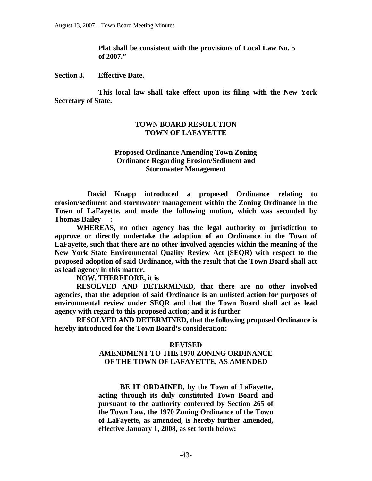**Plat shall be consistent with the provisions of Local Law No. 5 of 2007."** 

#### **Section 3. Effective Date.**

 **This local law shall take effect upon its filing with the New York Secretary of State.** 

### **TOWN BOARD RESOLUTION TOWN OF LAFAYETTE**

#### **Proposed Ordinance Amending Town Zoning Ordinance Regarding Erosion/Sediment and Stormwater Management**

 **David Knapp introduced a proposed Ordinance relating to erosion/sediment and stormwater management within the Zoning Ordinance in the Town of LaFayette, and made the following motion, which was seconded by Thomas Bailey :** 

 **WHEREAS, no other agency has the legal authority or jurisdiction to approve or directly undertake the adoption of an Ordinance in the Town of LaFayette, such that there are no other involved agencies within the meaning of the New York State Environmental Quality Review Act (SEQR) with respect to the proposed adoption of said Ordinance, with the result that the Town Board shall act as lead agency in this matter.** 

 **NOW, THEREFORE, it is** 

 **RESOLVED AND DETERMINED, that there are no other involved agencies, that the adoption of said Ordinance is an unlisted action for purposes of environmental review under SEQR and that the Town Board shall act as lead agency with regard to this proposed action; and it is further** 

 **RESOLVED AND DETERMINED, that the following proposed Ordinance is hereby introduced for the Town Board's consideration:** 

#### **REVISED**

### **AMENDMENT TO THE 1970 ZONING ORDINANCE OF THE TOWN OF LAFAYETTE, AS AMENDED**

 **BE IT ORDAINED, by the Town of LaFayette, acting through its duly constituted Town Board and pursuant to the authority conferred by Section 265 of the Town Law, the 1970 Zoning Ordinance of the Town of LaFayette, as amended, is hereby further amended, effective January 1, 2008, as set forth below:**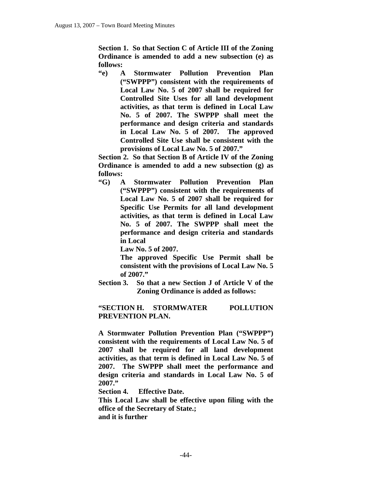**Section 1. So that Section C of Article III of the Zoning Ordinance is amended to add a new subsection (e) as follows:** 

**"e) A Stormwater Pollution Prevention Plan ("SWPPP") consistent with the requirements of Local Law No. 5 of 2007 shall be required for Controlled Site Uses for all land development activities, as that term is defined in Local Law No. 5 of 2007. The SWPPP shall meet the performance and design criteria and standards in Local Law No. 5 of 2007. The approved Controlled Site Use shall be consistent with the provisions of Local Law No. 5 of 2007."** 

**Section 2. So that Section B of Article IV of the Zoning Ordinance is amended to add a new subsection (g) as follows:** 

**"G) A Stormwater Pollution Prevention Plan ("SWPPP") consistent with the requirements of Local Law No. 5 of 2007 shall be required for Specific Use Permits for all land development activities, as that term is defined in Local Law No. 5 of 2007. The SWPPP shall meet the performance and design criteria and standards in Local** 

 **Law No. 5 of 2007.** 

**The approved Specific Use Permit shall be consistent with the provisions of Local Law No. 5 of 2007."** 

**Section 3. So that a new Section J of Article V of the Zoning Ordinance is added as follows:** 

**"SECTION H. STORMWATER POLLUTION PREVENTION PLAN.** 

**A Stormwater Pollution Prevention Plan ("SWPPP") consistent with the requirements of Local Law No. 5 of 2007 shall be required for all land development activities, as that term is defined in Local Law No. 5 of 2007. The SWPPP shall meet the performance and design criteria and standards in Local Law No. 5 of 2007."** 

**Section 4. Effective Date.** 

**This Local Law shall be effective upon filing with the office of the Secretary of State.; and it is further**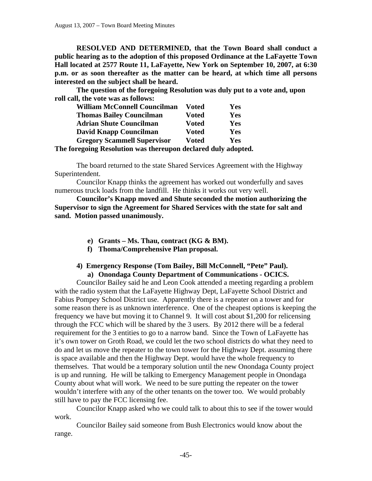**RESOLVED AND DETERMINED, that the Town Board shall conduct a public hearing as to the adoption of this proposed Ordinance at the LaFayette Town Hall located at 2577 Route 11, LaFayette, New York on September 10, 2007, at 6:30 p.m. or as soon thereafter as the matter can be heard, at which time all persons interested on the subject shall be heard.** 

**The question of the foregoing Resolution was duly put to a vote and, upon roll call, the vote was as follows:** 

| <b>William McConnell Councilman</b>                                                                                                                                                                                               | Voted        | Yes        |
|-----------------------------------------------------------------------------------------------------------------------------------------------------------------------------------------------------------------------------------|--------------|------------|
| <b>Thomas Bailey Councilman</b>                                                                                                                                                                                                   | <b>Voted</b> | Yes        |
| <b>Adrian Shute Councilman</b>                                                                                                                                                                                                    | <b>Voted</b> | Yes        |
| David Knapp Councilman                                                                                                                                                                                                            | <b>Voted</b> | Yes        |
| <b>Gregory Scammell Supervisor</b>                                                                                                                                                                                                | <b>Voted</b> | <b>Yes</b> |
| $\mathbf{0}$ . The contract of the contract of the contract of the contract of the contract of the contract of the contract of the contract of the contract of the contract of the contract of the contract of the contract of th |              |            |

**The foregoing Resolution was thereupon declared duly adopted.** 

 The board returned to the state Shared Services Agreement with the Highway Superintendent.

 Councilor Knapp thinks the agreement has worked out wonderfully and saves numerous truck loads from the landfill. He thinks it works out very well.

**Councilor's Knapp moved and Shute seconded the motion authorizing the Supervisor to sign the Agreement for Shared Services with the state for salt and sand. Motion passed unanimously.** 

- **e) Grants Ms. Thau, contract (KG & BM).**
- **f) Thoma/Comprehensive Plan proposal.**

# **4) Emergency Response (Tom Bailey, Bill McConnell, "Pete" Paul). a) Onondaga County Department of Communications - OCICS.**

Councilor Bailey said he and Leon Cook attended a meeting regarding a problem with the radio system that the LaFayette Highway Dept, LaFayette School District and Fabius Pompey School District use. Apparently there is a repeater on a tower and for some reason there is as unknown interference. One of the cheapest options is keeping the frequency we have but moving it to Channel 9. It will cost about \$1,200 for relicensing through the FCC which will be shared by the 3 users. By 2012 there will be a federal requirement for the 3 entities to go to a narrow band. Since the Town of LaFayette has it's own tower on Groth Road, we could let the two school districts do what they need to do and let us move the repeater to the town tower for the Highway Dept. assuming there is space available and then the Highway Dept. would have the whole frequency to themselves. That would be a temporary solution until the new Onondaga County project is up and running. He will be talking to Emergency Management people in Onondaga County about what will work. We need to be sure putting the repeater on the tower wouldn't interfere with any of the other tenants on the tower too. We would probably still have to pay the FCC licensing fee.

Councilor Knapp asked who we could talk to about this to see if the tower would work.

Councilor Bailey said someone from Bush Electronics would know about the range.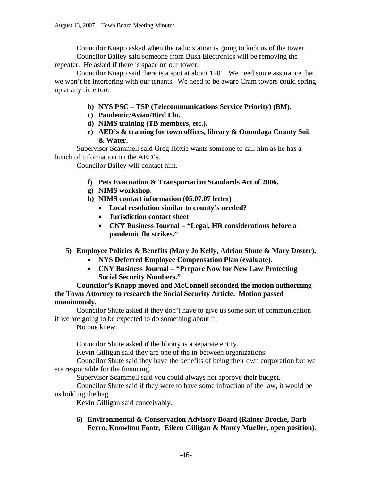Councilor Knapp asked when the radio station is going to kick us of the tower. Councilor Bailey said someone from Bush Electronics will be removing the

repeater. He asked if there is space on our tower.

Councilor Knapp said there is a spot at about 120'. We need some assurance that we won't be interfering with our tenants. We need to be aware Cram towers could spring up at any time too.

- **b) NYS PSC TSP (Telecommunications Service Priority) (BM).**
- **c) Pandemic/Avian/Bird Flu.**
- **d) NIMS training (TB members, etc.).**
- **e) AED's & training for town offices, library & Onondaga County Soil & Water.**

Supervisor Scammell said Greg Hoxie wants someone to call him as he has a bunch of information on the AED's.

Councilor Bailey will contact him.

- **f) Pets Evacuation & Transportation Standards Act of 2006.**
- **g) NIMS workshop.**
- **h) NIMS contact information (05.07.07 letter)** 
	- **Local resolution similar to county's needed?**
	- **Jurisdiction contact sheet**
	- **CNY Business Journal "Legal, HR considerations before a pandemic flu strikes."**
- **5) Employee Policies & Benefits (Mary Jo Kelly, Adrian Shute & Mary Doster).** 
	- **NYS Deferred Employee Compensation Plan (evaluate).**
	- **CNY Business Journal "Prepare Now for New Law Protecting Social Security Numbers."**

**Councilor's Knapp moved and McConnell seconded the motion authorizing the Town Attorney to research the Social Security Article. Motion passed unanimously.** 

Councilor Shute asked if they don't have to give us some sort of communication if we are going to be expected to do something about it.

No one knew.

Councilor Shute asked if the library is a separate entity.

Kevin Gilligan said they are one of the in-between organizations.

Councilor Shute said they have the benefits of being their own corporation but we are responsible for the financing.

Supervisor Scammell said you could always not approve their budget.

Councilor Shute said if they were to have some infraction of the law, it would be us holding the bag.

Kevin Gilligan said conceivably.

**6) Environmental & Conservation Advisory Board (Rainer Brocke, Barb Ferro, Knowlton Foote, Eileen Gilligan & Nancy Mueller, open position).**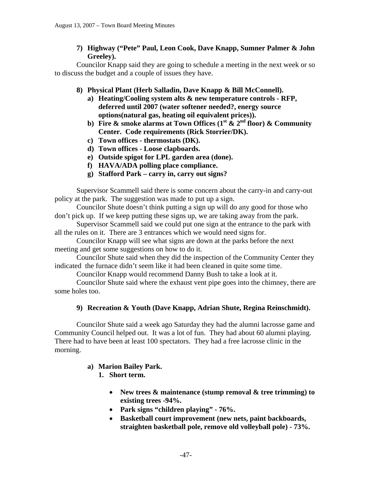**7) Highway ("Pete" Paul, Leon Cook, Dave Knapp, Sumner Palmer & John Greeley).** 

Councilor Knapp said they are going to schedule a meeting in the next week or so to discuss the budget and a couple of issues they have.

- **8) Physical Plant (Herb Salladin, Dave Knapp & Bill McConnell).** 
	- **a) Heating/Cooling system alts & new temperature controls RFP, deferred until 2007 (water softener needed?, energy source options(natural gas, heating oil equivalent prices)).**
	- **b)** Fire & smoke alarms at Town Offices  $(1^{\text{st}} \& 2^{\text{nd}} \text{ floor}) \& \text{Community}$ **Center. Code requirements (Rick Storrier/DK).**
	- **c) Town offices thermostats (DK).**
	- **d) Town offices Loose clapboards.**
	- **e) Outside spigot for LPL garden area (done).**
	- **f) HAVA/ADA polling place compliance.**
	- **g) Stafford Park carry in, carry out signs?**

Supervisor Scammell said there is some concern about the carry-in and carry-out policy at the park. The suggestion was made to put up a sign.

Councilor Shute doesn't think putting a sign up will do any good for those who don't pick up. If we keep putting these signs up, we are taking away from the park.

Supervisor Scammell said we could put one sign at the entrance to the park with all the rules on it. There are 3 entrances which we would need signs for.

Councilor Knapp will see what signs are down at the parks before the next meeting and get some suggestions on how to do it.

Councilor Shute said when they did the inspection of the Community Center they indicated the furnace didn't seem like it had been cleaned in quite some time.

Councilor Knapp would recommend Danny Bush to take a look at it.

Councilor Shute said where the exhaust vent pipe goes into the chimney, there are some holes too.

# **9) Recreation & Youth (Dave Knapp, Adrian Shute, Regina Reinschmidt).**

Councilor Shute said a week ago Saturday they had the alumni lacrosse game and Community Council helped out. It was a lot of fun. They had about 60 alumni playing. There had to have been at least 100 spectators. They had a free lacrosse clinic in the morning.

# **a) Marion Bailey Park.**

- **1. Short term.** 
	- **New trees & maintenance (stump removal & tree trimming) to existing trees -94%.**
	- **Park signs "children playing" 76%.**
	- **Basketball court improvement (new nets, paint backboards, straighten basketball pole, remove old volleyball pole) - 73%.**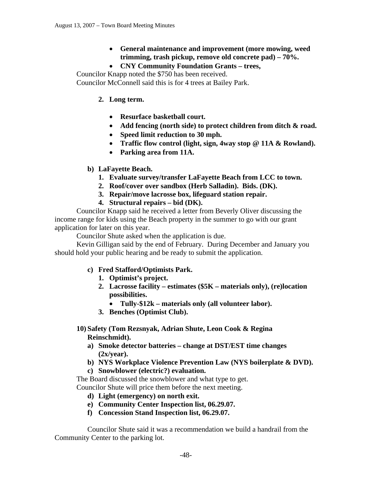- **General maintenance and improvement (more mowing, weed trimming, trash pickup, remove old concrete pad) – 70%.**
- **CNY Community Foundation Grants trees,**

Councilor Knapp noted the \$750 has been received. Councilor McConnell said this is for 4 trees at Bailey Park.

- **2. Long term.** 
	- **Resurface basketball court.**
	- **Add fencing (north side) to protect children from ditch & road.**
	- **Speed limit reduction to 30 mph.**
	- **Traffic flow control (light, sign, 4way stop @ 11A & Rowland).**
	- **Parking area from 11A.**
- **b) LaFayette Beach.** 
	- **1. Evaluate survey/transfer LaFayette Beach from LCC to town.**
	- **2. Roof/cover over sandbox (Herb Salladin). Bids. (DK).**
	- **3. Repair/move lacrosse box, lifeguard station repair.**
	- **4. Structural repairs bid (DK).**

Councilor Knapp said he received a letter from Beverly Oliver discussing the income range for kids using the Beach property in the summer to go with our grant application for later on this year.

Councilor Shute asked when the application is due.

Kevin Gilligan said by the end of February. During December and January you should hold your public hearing and be ready to submit the application.

# **c) Fred Stafford/Optimists Park.**

- **1. Optimist's project.**
- **2. Lacrosse facility estimates (\$5K materials only), (re)location possibilities.** 
	- **Tully-\$12k materials only (all volunteer labor).**
- **3. Benches (Optimist Club).**

# **10) Safety (Tom Rezsnyak, Adrian Shute, Leon Cook & Regina Reinschmidt).**

- **a) Smoke detector batteries change at DST/EST time changes (2x/year).**
- **b) NYS Workplace Violence Prevention Law (NYS boilerplate & DVD).**
- **c) Snowblower (electric?) evaluation.**

The Board discussed the snowblower and what type to get.

Councilor Shute will price them before the next meeting.

- **d) Light (emergency) on north exit.**
- **e) Community Center Inspection list, 06.29.07.**
- **f) Concession Stand Inspection list, 06.29.07.**

 Councilor Shute said it was a recommendation we build a handrail from the Community Center to the parking lot.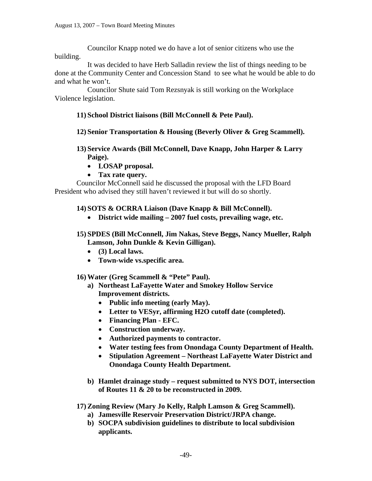Councilor Knapp noted we do have a lot of senior citizens who use the building.

 It was decided to have Herb Salladin review the list of things needing to be done at the Community Center and Concession Stand to see what he would be able to do and what he won't.

 Councilor Shute said Tom Rezsnyak is still working on the Workplace Violence legislation.

# **11) School District liaisons (Bill McConnell & Pete Paul).**

# **12) Senior Transportation & Housing (Beverly Oliver & Greg Scammell).**

- **13) Service Awards (Bill McConnell, Dave Knapp, John Harper & Larry Paige).** 
	- **LOSAP proposal.**
	- **Tax rate query.**

Councilor McConnell said he discussed the proposal with the LFD Board President who advised they still haven't reviewed it but will do so shortly.

# **14) SOTS & OCRRA Liaison (Dave Knapp & Bill McConnell).**

- **District wide mailing 2007 fuel costs, prevailing wage, etc.**
- **15) SPDES (Bill McConnell, Jim Nakas, Steve Beggs, Nancy Mueller, Ralph Lamson, John Dunkle & Kevin Gilligan).** 
	- **(3) Local laws.**
	- **Town-wide vs.specific area.**

# **16) Water (Greg Scammell & "Pete" Paul).**

- **a) Northeast LaFayette Water and Smokey Hollow Service Improvement districts.** 
	- **Public info meeting (early May).**
	- **Letter to VESyr, affirming H2O cutoff date (completed).**
	- **Financing Plan EFC.**
	- **Construction underway.**
	- **Authorized payments to contractor.**
	- **Water testing fees from Onondaga County Department of Health.**
	- **Stipulation Agreement Northeast LaFayette Water District and Onondaga County Health Department.**
- **b) Hamlet drainage study request submitted to NYS DOT, intersection of Routes 11 & 20 to be reconstructed in 2009.**

**17) Zoning Review (Mary Jo Kelly, Ralph Lamson & Greg Scammell).** 

- **a) Jamesville Reservoir Preservation District/JRPA change.**
- **b) SOCPA subdivision guidelines to distribute to local subdivision applicants.**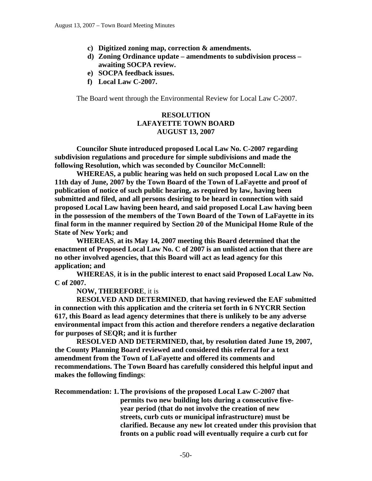- **c) Digitized zoning map, correction & amendments.**
- **d) Zoning Ordinance update amendments to subdivision process awaiting SOCPA review.**
- **e) SOCPA feedback issues.**
- **f) Local Law C-2007.**

The Board went through the Environmental Review for Local Law C-2007.

# **RESOLUTION LAFAYETTE TOWN BOARD AUGUST 13, 2007**

**Councilor Shute introduced proposed Local Law No. C-2007 regarding subdivision regulations and procedure for simple subdivisions and made the following Resolution, which was seconded by Councilor McConnell:** 

 **WHEREAS, a public hearing was held on such proposed Local Law on the 11th day of June, 2007 by the Town Board of the Town of LaFayette and proof of publication of notice of such public hearing, as required by law, having been submitted and filed, and all persons desiring to be heard in connection with said proposed Local Law having been heard, and said proposed Local Law having been in the possession of the members of the Town Board of the Town of LaFayette in its final form in the manner required by Section 20 of the Municipal Home Rule of the State of New York; and** 

 **WHEREAS**, **at its May 14, 2007 meeting this Board determined that the enactment of Proposed Local Law No. C of 2007 is an unlisted action that there are no other involved agencies, that this Board will act as lead agency for this application; and** 

 **WHEREAS**, **it is in the public interest to enact said Proposed Local Law No. C of 2007.** 

 **NOW, THEREFORE**, it is

 **RESOLVED AND DETERMINED**, **that having reviewed the EAF submitted in connection with this application and the criteria set forth in 6 NYCRR Section 617, this Board as lead agency determines that there is unlikely to be any adverse environmental impact from this action and therefore renders a negative declaration for purposes of SEQR; and it is further** 

 **RESOLVED AND DETERMINED, that, by resolution dated June 19, 2007, the County Planning Board reviewed and considered this referral for a text amendment from the Town of LaFayette and offered its comments and recommendations. The Town Board has carefully considered this helpful input and makes the following findings**:

**Recommendation: 1. The provisions of the proposed Local Law C-2007 that permits two new building lots during a consecutive five year period (that do not involve the creation of new streets, curb cuts or municipal infrastructure) must be clarified. Because any new lot created under this provision that fronts on a public road will eventually require a curb cut for**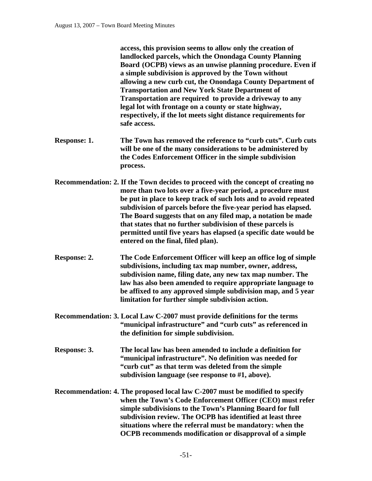**access, this provision seems to allow only the creation of landlocked parcels, which the Onondaga County Planning Board (OCPB) views as an unwise planning procedure. Even if a simple subdivision is approved by the Town without allowing a new curb cut, the Onondaga County Department of Transportation and New York State Department of Transportation are required to provide a driveway to any legal lot with frontage on a county or state highway, respectively, if the lot meets sight distance requirements for safe access.** 

- **Response: 1. The Town has removed the reference to "curb cuts". Curb cuts will be one of the many considerations to be administered by the Codes Enforcement Officer in the simple subdivision process.**
- **Recommendation: 2. If the Town decides to proceed with the concept of creating no more than two lots over a five-year period, a procedure must be put in place to keep track of such lots and to avoid repeated subdivision of parcels before the five-year period has elapsed. The Board suggests that on any filed map, a notation be made that states that no further subdivision of these parcels is permitted until five years has elapsed (a specific date would be entered on the final, filed plan).**
- **Response: 2. The Code Enforcement Officer will keep an office log of simple subdivisions, including tax map number, owner, address, subdivision name, filing date, any new tax map number. The law has also been amended to require appropriate language to be affixed to any approved simple subdivision map, and 5 year limitation for further simple subdivision action.**
- **Recommendation: 3. Local Law C-2007 must provide definitions for the terms "municipal infrastructure" and "curb cuts" as referenced in the definition for simple subdivision.**
- **Response: 3. The local law has been amended to include a definition for "municipal infrastructure". No definition was needed for "curb cut" as that term was deleted from the simple subdivision language (see response to #1, above).**
- **Recommendation: 4. The proposed local law C-2007 must be modified to specify when the Town's Code Enforcement Officer (CEO) must refer simple subdivisions to the Town's Planning Board for full subdivision review. The OCPB has identified at least three situations where the referral must be mandatory: when the OCPB recommends modification or disapproval of a simple**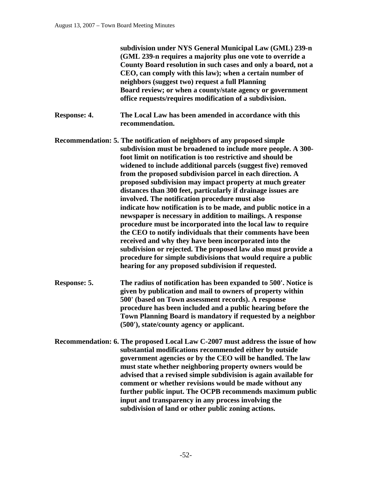**subdivision under NYS General Municipal Law (GML) 239-n (GML 239-n requires a majority plus one vote to override a County Board resolution in such cases and only a board, not a CEO, can comply with this law); when a certain number of neighbors (suggest two) request a full Planning Board review; or when a county/state agency or government office requests/requires modification of a subdivision.** 

- **Response: 4. The Local Law has been amended in accordance with this recommendation.**
- **Recommendation: 5. The notification of neighbors of any proposed simple subdivision must be broadened to include more people. A 300 foot limit on notification is too restrictive and should be widened to include additional parcels (suggest five) removed from the proposed subdivision parcel in each direction. A proposed subdivision may impact property at much greater distances than 300 feet, particularly if drainage issues are involved. The notification procedure must also indicate how notification is to be made, and public notice in a newspaper is necessary in addition to mailings. A response procedure must be incorporated into the local law to require the CEO to notify individuals that their comments have been received and why they have been incorporated into the subdivision or rejected. The proposed law also must provide a procedure for simple subdivisions that would require a public hearing for any proposed subdivision if requested.**
- **Response: 5. The radius of notification has been expanded to 500'. Notice is given by publication and mail to owners of property within 500' (based on Town assessment records). A response procedure has been included and a public hearing before the Town Planning Board is mandatory if requested by a neighbor (500'), state/county agency or applicant.**
- **Recommendation: 6. The proposed Local Law C-2007 must address the issue of how substantial modifications recommended either by outside government agencies or by the CEO will be handled. The law must state whether neighboring property owners would be advised that a revised simple subdivision is again available for comment or whether revisions would be made without any further public input. The OCPB recommends maximum public input and transparency in any process involving the subdivision of land or other public zoning actions.**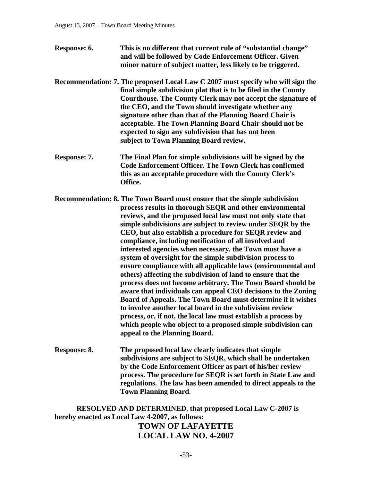- **Response: 6. This is no different that current rule of "substantial change" and will be followed by Code Enforcement Officer. Given minor nature of subject matter, less likely to be triggered.**
- **Recommendation: 7. The proposed Local Law C 2007 must specify who will sign the final simple subdivision plat that is to be filed in the County Courthouse. The County Clerk may not accept the signature of the CEO, and the Town should investigate whether any signature other than that of the Planning Board Chair is acceptable. The Town Planning Board Chair should not be expected to sign any subdivision that has not been subject to Town Planning Board review.**
- **Response: 7. The Final Plan for simple subdivisions will be signed by the Code Enforcement Officer. The Town Clerk has confirmed this as an acceptable procedure with the County Clerk's Office.**
- **Recommendation: 8. The Town Board must ensure that the simple subdivision process results in thorough SEQR and other environmental reviews, and the proposed local law must not only state that simple subdivisions are subject to review under SEQR by the CEO, but also establish a procedure for SEQR review and compliance, including notification of all involved and interested agencies when necessary. the Town must have a system of oversight for the simple subdivision process to ensure compliance with all applicable laws (environmental and others) affecting the subdivision of land to ensure that the process does not become arbitrary. The Town Board should be aware that individuals can appeal CEO decisions to the Zoning Board of Appeals. The Town Board must determine if it wishes to involve another local board in the subdivision review process, or, if not, the local law must establish a process by which people who object to a proposed simple subdivision can appeal to the Planning Board.**
- **Response: 8. The proposed local law clearly indicates that simple subdivisions are subject to SEQR, which shall be undertaken by the Code Enforcement Officer as part of his/her review process. The procedure for SEQR is set forth in State Law and regulations. The law has been amended to direct appeals to the Town Planning Board**.

**RESOLVED AND DETERMINED**, **that proposed Local Law C-2007 is hereby enacted as Local Law 4-2007, as follows:** 

# **TOWN OF LAFAYETTE LOCAL LAW NO. 4-2007**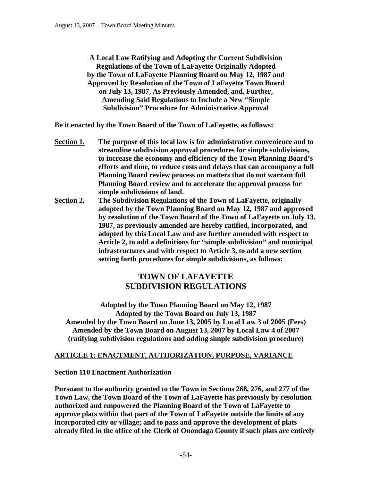**A Local Law Ratifying and Adopting the Current Subdivision Regulations of the Town of LaFayette Originally Adopted by the Town of LaFayette Planning Board on May 12, 1987 and Approved by Resolution of the Town of LaFayette Town Board on July 13, 1987, As Previously Amended, and, Further, Amending Said Regulations to Include a New "Simple Subdivision" Procedure for Administrative Approval** 

**Be it enacted by the Town Board of the Town of LaFayette, as follows:** 

- **Section 1. The purpose of this local law is for administrative convenience and to streamline subdivision approval procedures for simple subdivisions, to increase the economy and efficiency of the Town Planning Board's efforts and time, to reduce costs and delays that can accompany a full Planning Board review process on matters that do not warrant full Planning Board review and to accelerate the approval process for simple subdivisions of land.**
- **Section 2. The Subdivision Regulations of the Town of LaFayette, originally adopted by the Town Planning Board on May 12, 1987 and approved by resolution of the Town Board of the Town of LaFayette on July 13, 1987, as previously amended are hereby ratified, incorporated, and adopted by this Local Law and are further amended with respect to Article 2, to add a definitions for "simple subdivision" and municipal infrastructures and with respect to Article 3, to add a new section setting forth procedures for simple subdivisions, as follows:**

# **TOWN OF LAFAYETTE SUBDIVISION REGULATIONS**

**Adopted by the Town Planning Board on May 12, 1987 Adopted by the Town Board on July 13, 1987 Amended by the Town Board on June 13, 2005 by Local Law 3 of 2005 (Fees) Amended by the Town Board on August 13, 2007 by Local Law 4 of 2007 (ratifying subdivision regulations and adding simple subdivision procedure)** 

# **ARTICLE 1: ENACTMENT, AUTHORIZATION, PURPOSE, VARIANCE**

**Section 110 Enactment Authorization** 

**Pursuant to the authority granted to the Town in Sections 268, 276, and 277 of the Town Law, the Town Board of the Town of LaFayette has previously by resolution authorized and empowered the Planning Board of the Town of LaFayette to approve plats within that part of the Town of LaFayette outside the limits of any incorporated city or village; and to pass and approve the development of plats already filed in the office of the Clerk of Onondaga County if such plats are entirely**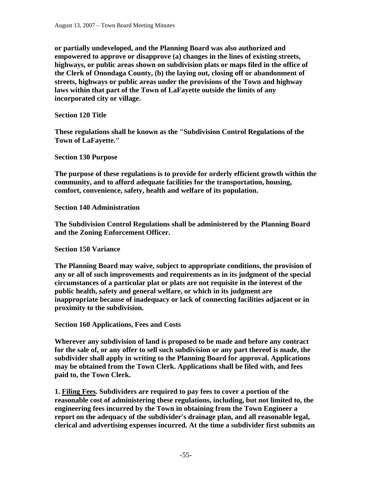**or partially undeveloped, and the Planning Board was also authorized and empowered to approve or disapprove (a) changes in the lines of existing streets, highways, or public areas shown on subdivision plats or maps filed in the office of the Clerk of Onondaga County, (b) the laying out, closing off or abandonment of streets, highways or public areas under the provisions of the Town and highway laws within that part of the Town of LaFayette outside the limits of any incorporated city or village.** 

**Section 120 Title** 

**These regulations shall be known as the "Subdivision Control Regulations of the Town of LaFayette."** 

**Section 130 Purpose** 

**The purpose of these regulations is to provide for orderly efficient growth within the community, and to afford adequate facilities for the transportation, housing, comfort, convenience, safety, health and welfare of its population.** 

**Section 140 Administration** 

**The Subdivision Control Regulations shall be administered by the Planning Board and the Zoning Enforcement Officer.** 

**Section 150 Variance** 

**The Planning Board may waive, subject to appropriate conditions, the provision of any or all of such improvements and requirements as in its judgment of the special circumstances of a particular plat or plats are not requisite in the interest of the public health, safety and general welfare, or which in its judgment are inappropriate because of inadequacy or lack of connecting facilities adjacent or in proximity to the subdivision.** 

**Section 160 Applications, Fees and Costs** 

**Wherever any subdivision of land is proposed to be made and before any contract for the sale of, or any offer to sell such subdivision or any part thereof is made, the subdivider shall apply in writing to the Planning Board for approval. Applications may be obtained from the Town Clerk. Applications shall be filed with, and fees paid to, the Town Clerk.** 

**1. Filing Fees. Subdividers are required to pay fees to cover a portion of the reasonable cost of administering these regulations, including, but not limited to, the engineering fees incurred by the Town in obtaining from the Town Engineer a report on the adequacy of the subdivider's drainage plan, and all reasonable legal, clerical and advertising expenses incurred. At the time a subdivider first submits an**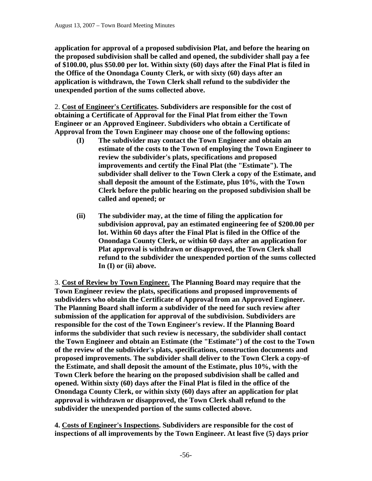**application for approval of a proposed subdivision Plat, and before the hearing on the proposed subdivision shall be called and opened, the subdivider shall pay a fee of \$100.00, plus \$50.00 per lot. Within sixty (60) days after the Final Plat is filed in the Office of the Onondaga County Clerk, or with sixty (60) days after an application is withdrawn, the Town Clerk shall refund to the subdivider the unexpended portion of the sums collected above.** 

2. **Cost of Engineer's Certificates. Subdividers are responsible for the cost of obtaining a Certificate of Approval for the Final Plat from either the Town Engineer or an Approved Engineer. Subdividers who obtain a Certificate of Approval from the Town Engineer may choose one of the following options:** 

- **(I) The subdivider may contact the Town Engineer and obtain an estimate of the costs to the Town of employing the Town Engineer to review the subdivider's plats, specifications and proposed improvements and certify the Final Plat (the "Estimate"). The subdivider shall deliver to the Town Clerk a copy of the Estimate, and shall deposit the amount of the Estimate, plus 10%, with the Town Clerk before the public hearing on the proposed subdivision shall be called and opened; or**
- **(ii) The subdivider may, at the time of filing the application for subdivision approval, pay an estimated engineering fee of \$200.00 per lot. Within 60 days after the Final Plat is filed in the Office of the Onondaga County Clerk, or within 60 days after an application for Plat approval is withdrawn or disapproved, the Town Clerk shall refund to the subdivider the unexpended portion of the sums collected In (I) or (ii) above.**

3. **Cost of Review by Town Engineer. The Planning Board may require that the Town Engineer review the plats, specifications and proposed improvements of subdividers who obtain the Certificate of Approval from an Approved Engineer. The Planning Board shall inform a subdivider of the need for such review after submission of the application for approval of the subdivision. Subdividers are responsible for the cost of the Town Engineer's review. If the Planning Board informs the subdivider that such review is necessary, the subdivider shall contact the Town Engineer and obtain an Estimate (the "Estimate") of the cost to the Town of the review of the subdivider's plats, specifications, construction documents and proposed improvements. The subdivider shall deliver to the Town Clerk a copy-of the Estimate, and shall deposit the amount of the Estimate, plus 10%, with the Town Clerk before the hearing on the proposed subdivision shall be called and opened. Within sixty (60) days after the Final Plat is filed in the office of the Onondaga County Clerk, or within sixty (60) days after an application for plat approval is withdrawn or disapproved, the Town Clerk shall refund to the subdivider the unexpended portion of the sums collected above.** 

**4. Costs of Engineer's Inspections. Subdividers are responsible for the cost of inspections of all improvements by the Town Engineer. At least five (5) days prior**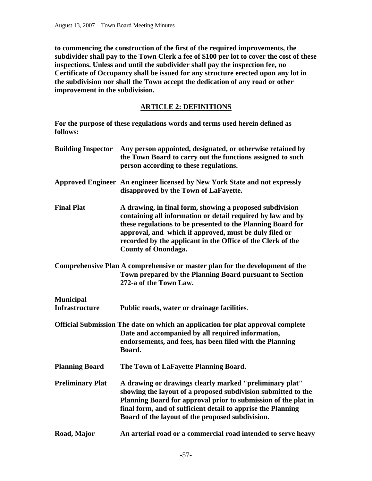**to commencing the construction of the first of the required improvements, the subdivider shall pay to the Town Clerk a fee of \$100 per lot to cover the cost of these inspections. Unless and until the subdivider shall pay the inspection fee, no Certificate of Occupancy shall be issued for any structure erected upon any lot in the subdivision nor shall the Town accept the dedication of any road or other improvement in the subdivision.** 

# **ARTICLE 2: DEFINITIONS**

**For the purpose of these regulations words and terms used herein defined as follows:** 

| <b>Building Inspector</b> | Any person appointed, designated, or otherwise retained by<br>the Town Board to carry out the functions assigned to such<br>person according to these regulations.                                                                                                                                                                            |
|---------------------------|-----------------------------------------------------------------------------------------------------------------------------------------------------------------------------------------------------------------------------------------------------------------------------------------------------------------------------------------------|
|                           | Approved Engineer An engineer licensed by New York State and not expressly<br>disapproved by the Town of LaFayette.                                                                                                                                                                                                                           |
| <b>Final Plat</b>         | A drawing, in final form, showing a proposed subdivision<br>containing all information or detail required by law and by<br>these regulations to be presented to the Planning Board for<br>approval, and which if approved, must be duly filed or<br>recorded by the applicant in the Office of the Clerk of the<br><b>County of Onondaga.</b> |
|                           | Comprehensive Plan A comprehensive or master plan for the development of the<br>Town prepared by the Planning Board pursuant to Section<br>272-a of the Town Law.                                                                                                                                                                             |
| <b>Municipal</b>          |                                                                                                                                                                                                                                                                                                                                               |
| <b>Infrastructure</b>     | Public roads, water or drainage facilities.                                                                                                                                                                                                                                                                                                   |
|                           | Official Submission The date on which an application for plat approval complete<br>Date and accompanied by all required information,<br>endorsements, and fees, has been filed with the Planning<br>Board.                                                                                                                                    |
| <b>Planning Board</b>     | The Town of LaFayette Planning Board.                                                                                                                                                                                                                                                                                                         |
| <b>Preliminary Plat</b>   | A drawing or drawings clearly marked "preliminary plat"<br>showing the layout of a proposed subdivision submitted to the<br>Planning Board for approval prior to submission of the plat in<br>final form, and of sufficient detail to apprise the Planning<br>Board of the layout of the proposed subdivision.                                |
| Road, Major               | An arterial road or a commercial road intended to serve heavy                                                                                                                                                                                                                                                                                 |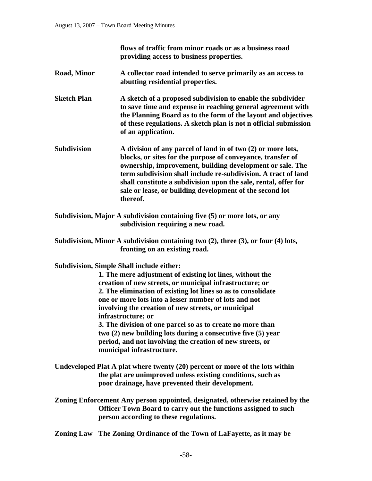**flows of traffic from minor roads or as a business road providing access to business properties.** 

- **Road, Minor A collector road intended to serve primarily as an access to abutting residential properties.**
- **Sketch Plan** A sketch of a proposed subdivision to enable the subdivider  **to save time and expense in reaching general agreement with the Planning Board as to the form of the layout and objectives of these regulations. A sketch plan is not n official submission of an application.**
- **Subdivision A division of any parcel of land in of two (2) or more lots, blocks, or sites for the purpose of conveyance, transfer of ownership, improvement, building development or sale. The term subdivision shall include re-subdivision. A tract of land shall constitute a subdivision upon the sale, rental, offer for sale or lease, or building development of the second lot thereof.**
- **Subdivision, Major A subdivision containing five (5) or more lots, or any subdivision requiring a new road.**
- **Subdivision, Minor A subdivision containing two (2), three (3), or four (4) lots, fronting on an existing road.**

**Subdivision, Simple Shall include either:** 

 **1. The mere adjustment of existing lot lines, without the creation of new streets, or municipal infrastructure; or 2. The elimination of existing lot lines so as to consolidate one or more lots into a lesser number of lots and not involving the creation of new streets, or municipal infrastructure; or 3. The division of one parcel so as to create no more than two (2) new building lots during a consecutive five (5) year** 

 **period, and not involving the creation of new streets, or municipal infrastructure.** 

- **Undeveloped Plat A plat where twenty (20) percent or more of the lots within the plat are unimproved unless existing conditions, such as poor drainage, have prevented their development.**
- **Zoning Enforcement Any person appointed, designated, otherwise retained by the Officer Town Board to carry out the functions assigned to such person according to these regulations.**

**Zoning Law The Zoning Ordinance of the Town of LaFayette, as it may be**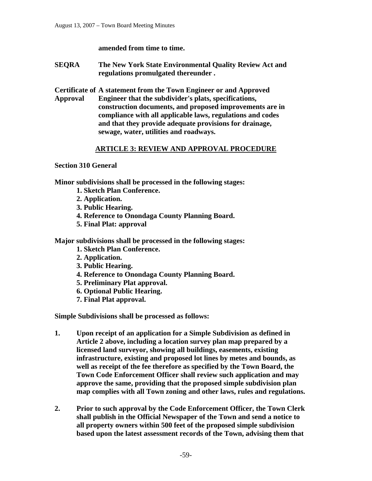### **amended from time to time.**

**SEQRA The New York State Environmental Quality Review Act and regulations promulgated thereunder .** 

**Certificate of A statement from the Town Engineer or and Approved Approval Engineer that the subdivider's plats, specifications, construction documents, and proposed improvements are in compliance with all applicable laws, regulations and codes and that they provide adequate provisions for drainage, sewage, water, utilities and roadways.** 

### **ARTICLE 3: REVIEW AND APPROVAL PROCEDURE**

**Section 310 General** 

**Minor subdivisions shall be processed in the following stages:** 

- **1. Sketch Plan Conference.**
- **2. Application.**
- **3. Public Hearing.**
- **4. Reference to Onondaga County Planning Board.**
- **5. Final Plat: approval**

**Major subdivisions shall be processed in the following stages:** 

- **1. Sketch Plan Conference.**
- **2. Application.**
- **3. Public Hearing.**
- **4. Reference to Onondaga County Planning Board.**
- **5. Preliminary Plat approval.**
- **6. Optional Public Hearing.**
- **7. Final Plat approval.**

**Simple Subdivisions shall be processed as follows:** 

- **1. Upon receipt of an application for a Simple Subdivision as defined in Article 2 above, including a location survey plan map prepared by a licensed land surveyor, showing all buildings, easements, existing infrastructure, existing and proposed lot lines by metes and bounds, as well as receipt of the fee therefore as specified by the Town Board, the Town Code Enforcement Officer shall review such application and may approve the same, providing that the proposed simple subdivision plan map complies with all Town zoning and other laws, rules and regulations.**
- **2. Prior to such approval by the Code Enforcement Officer, the Town Clerk shall publish in the Official Newspaper of the Town and send a notice to all property owners within 500 feet of the proposed simple subdivision based upon the latest assessment records of the Town, advising them that**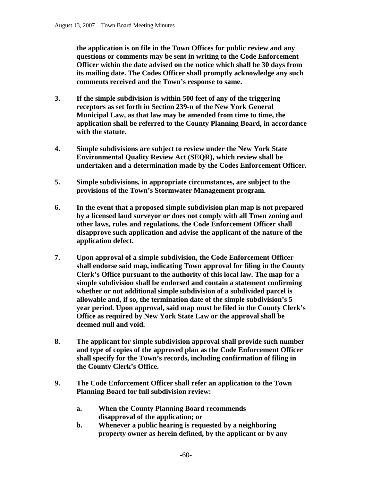**the application is on file in the Town Offices for public review and any questions or comments may be sent in writing to the Code Enforcement Officer within the date advised on the notice which shall be 30 days from its mailing date. The Codes Officer shall promptly acknowledge any such comments received and the Town's response to same.** 

- **3. If the simple subdivision is within 500 feet of any of the triggering receptors as set forth in Section 239-n of the New York General Municipal Law, as that law may be amended from time to time, the application shall be referred to the County Planning Board, in accordance with the statute.**
- **4. Simple subdivisions are subject to review under the New York State Environmental Quality Review Act (SEQR), which review shall be undertaken and a determination made by the Codes Enforcement Officer.**
- **5. Simple subdivisions, in appropriate circumstances, are subject to the provisions of the Town's Stormwater Management program.**
- **6. In the event that a proposed simple subdivision plan map is not prepared by a licensed land surveyor or does not comply with all Town zoning and other laws, rules and regulations, the Code Enforcement Officer shall disapprove such application and advise the applicant of the nature of the application defect.**
- **7. Upon approval of a simple subdivision, the Code Enforcement Officer shall endorse said map, indicating Town approval for filing in the County Clerk's Office pursuant to the authority of this local law. The map for a simple subdivision shall be endorsed and contain a statement confirming whether or not additional simple subdivision of a subdivided parcel is allowable and, if so, the termination date of the simple subdivision's 5 year period. Upon approval, said map must be filed in the County Clerk's Office as required by New York State Law or the approval shall be deemed null and void.**
- **8. The applicant for simple subdivision approval shall provide such number and type of copies of the approved plan as the Code Enforcement Officer shall specify for the Town's records, including confirmation of filing in the County Clerk's Office.**
- **9. The Code Enforcement Officer shall refer an application to the Town Planning Board for full subdivision review:** 
	- **a. When the County Planning Board recommends disapproval of the application; or**
	- **b. Whenever a public hearing is requested by a neighboring property owner as herein defined, by the applicant or by any**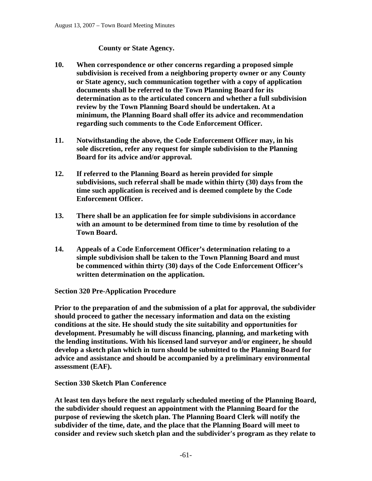### **County or State Agency.**

- **10. When correspondence or other concerns regarding a proposed simple subdivision is received from a neighboring property owner or any County or State agency, such communication together with a copy of application documents shall be referred to the Town Planning Board for its determination as to the articulated concern and whether a full subdivision review by the Town Planning Board should be undertaken. At a minimum, the Planning Board shall offer its advice and recommendation regarding such comments to the Code Enforcement Officer.**
- **11. Notwithstanding the above, the Code Enforcement Officer may, in his sole discretion, refer any request for simple subdivision to the Planning Board for its advice and/or approval.**
- **12. If referred to the Planning Board as herein provided for simple subdivisions, such referral shall be made within thirty (30) days from the time such application is received and is deemed complete by the Code Enforcement Officer.**
- **13. There shall be an application fee for simple subdivisions in accordance with an amount to be determined from time to time by resolution of the Town Board.**
- **14. Appeals of a Code Enforcement Officer's determination relating to a simple subdivision shall be taken to the Town Planning Board and must be commenced within thirty (30) days of the Code Enforcement Officer's written determination on the application.**

**Section 320 Pre-Application Procedure** 

**Prior to the preparation of and the submission of a plat for approval, the subdivider should proceed to gather the necessary information and data on the existing conditions at the site. He should study the site suitability and opportunities for development. Presumably he will discuss financing, planning, and marketing with the lending institutions. With his licensed land surveyor and/or engineer, he should develop a sketch plan which in turn should be submitted to the Planning Board for advice and assistance and should be accompanied by a preliminary environmental assessment (EAF).** 

### **Section 330 Sketch Plan Conference**

**At least ten days before the next regularly scheduled meeting of the Planning Board, the subdivider should request an appointment with the Planning Board for the purpose of reviewing the sketch plan. The Planning Board Clerk will notify the subdivider of the time, date, and the place that the Planning Board will meet to consider and review such sketch plan and the subdivider's program as they relate to**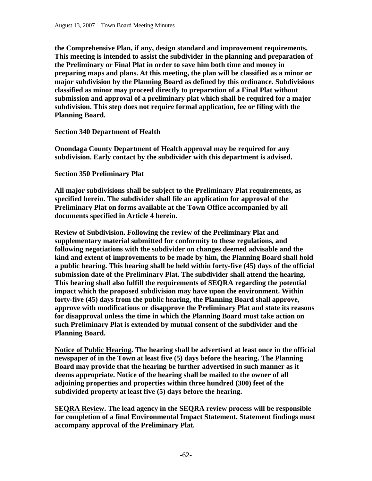**the Comprehensive Plan, if any, design standard and improvement requirements. This meeting is intended to assist the subdivider in the planning and preparation of the Preliminary or Final Plat in order to save him both time and money in preparing maps and plans. At this meeting, the plan will be classified as a minor or major subdivision by the Planning Board as defined by this ordinance. Subdivisions classified as minor may proceed directly to preparation of a Final Plat without submission and approval of a preliminary plat which shall be required for a major subdivision. This step does not require formal application, fee or filing with the Planning Board.** 

### **Section 340 Department of Health**

**Onondaga County Department of Health approval may be required for any subdivision. Early contact by the subdivider with this department is advised.** 

**Section 350 Preliminary Plat** 

**All major subdivisions shall be subject to the Preliminary Plat requirements, as specified herein. The subdivider shall file an application for approval of the Preliminary Plat on forms available at the Town Office accompanied by all documents specified in Article 4 herein.** 

**Review of Subdivision. Following the review of the Preliminary Plat and supplementary material submitted for conformity to these regulations, and following negotiations with the subdivider on changes deemed advisable and the kind and extent of improvements to be made by him, the Planning Board shall hold a public hearing. This hearing shall be held within forty-five (45) days of the official submission date of the Preliminary Plat. The subdivider shall attend the hearing. This hearing shall also fulfill the requirements of SEQRA regarding the potential impact which the proposed subdivision may have upon the environment. Within forty-five (45) days from the public hearing, the Planning Board shall approve, approve with modifications or disapprove the Preliminary Plat and state its reasons for disapproval unless the time in which the Planning Board must take action on such Preliminary Plat is extended by mutual consent of the subdivider and the Planning Board.** 

**Notice of Public Hearing. The hearing shall be advertised at least once in the official newspaper of in the Town at least five (5) days before the hearing. The Planning Board may provide that the hearing be further advertised in such manner as it deems appropriate. Notice of the hearing shall be mailed to the owner of all adjoining properties and properties within three hundred (300) feet of the subdivided property at least five (5) days before the hearing.** 

**SEQRA Review. The lead agency in the SEQRA review process will be responsible for completion of a final Environmental Impact Statement. Statement findings must accompany approval of the Preliminary Plat.**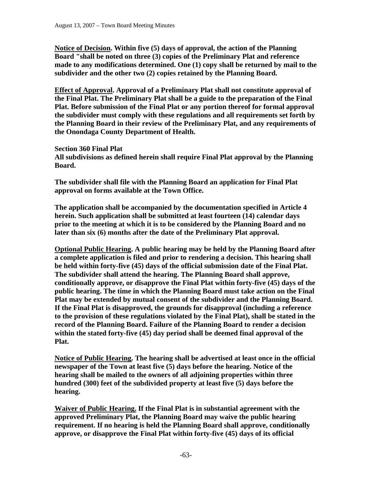**Notice of Decision. Within five (5) days of approval, the action of the Planning Board "shall be noted on three (3) copies of the Preliminary Plat and reference made to any modifications determined. One (1) copy shall be returned by mail to the subdivider and the other two (2) copies retained by the Planning Board.** 

**Effect of Approval. Approval of a Preliminary Plat shall not constitute approval of the Final Plat. The Preliminary Plat shall be a guide to the preparation of the Final Plat. Before submission of the Final Plat or any portion thereof for formal approval the subdivider must comply with these regulations and all requirements set forth by the Planning Board in their review of the Preliminary Plat, and any requirements of the Onondaga County Department of Health.** 

**Section 360 Final Plat** 

**All subdivisions as defined herein shall require Final Plat approval by the Planning Board.** 

**The subdivider shall file with the Planning Board an application for Final Plat approval on forms available at the Town Office.** 

**The application shall be accompanied by the documentation specified in Article 4 herein. Such application shall be submitted at least fourteen (14) calendar days prior to the meeting at which it is to be considered by the Planning Board and no later than six (6) months after the date of the Preliminary Plat approval.** 

**Optional Public Hearing. A public hearing may be held by the Planning Board after a complete application is filed and prior to rendering a decision. This hearing shall be held within forty-five (45) days of the official submission date of the Final Plat. The subdivider shall attend the hearing. The Planning Board shall approve, conditionally approve, or disapprove the Final Plat within forty-five (45) days of the public hearing. The time in which the Planning Board must take action on the Final Plat may be extended by mutual consent of the subdivider and the Planning Board. If the Final Plat is disapproved, the grounds for disapproval (including a reference to the provision of these regulations violated by the Final Plat), shall be stated in the record of the Planning Board. Failure of the Planning Board to render a decision within the stated forty-five (45) day period shall be deemed final approval of the Plat.** 

**Notice of Public Hearing. The hearing shall be advertised at least once in the official newspaper of the Town at least five (5) days before the hearing. Notice of the hearing shall be mailed to the owners of all adjoining properties within three hundred (300) feet of the subdivided property at least five (5) days before the hearing.** 

**Waiver of Public Hearing. If the Final Plat is in substantial agreement with the approved Preliminary Plat, the Planning Board may waive the public hearing requirement. If no hearing is held the Planning Board shall approve, conditionally approve, or disapprove the Final Plat within forty-five (45) days of its official**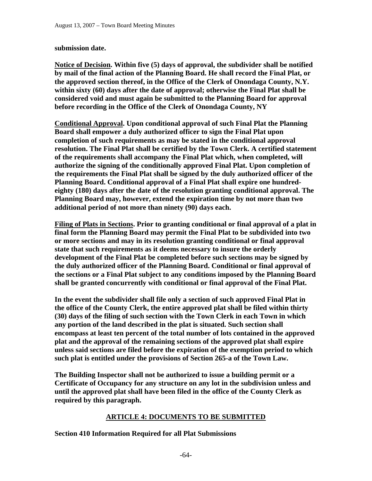### **submission date.**

**Notice of Decision. Within five (5) days of approval, the subdivider shall be notified by mail of the final action of the Planning Board. He shall record the Final Plat, or the approved section thereof, in the Office of the Clerk of Onondaga County, N.Y. within sixty (60) days after the date of approval; otherwise the Final Plat shall be considered void and must again be submitted to the Planning Board for approval before recording in the Office of the Clerk of Onondaga County, NY** 

**Conditional Approval. Upon conditional approval of such Final Plat the Planning Board shall empower a duly authorized officer to sign the Final Plat upon completion of such requirements as may be stated in the conditional approval resolution. The Final Plat shall be certified by the Town Clerk. A certified statement of the requirements shall accompany the Final Plat which, when completed, will authorize the signing of the conditionally approved Final Plat. Upon completion of the requirements the Final Plat shall be signed by the duly authorized officer of the Planning Board. Conditional approval of a Final Plat shall expire one hundredeighty (180) days after the date of the resolution granting conditional approval. The Planning Board may, however, extend the expiration time by not more than two additional period of not more than ninety (90) days each.** 

**Filing of Plats in Sections. Prior to granting conditional or final approval of a plat in final form the Planning Board may permit the Final Plat to be subdivided into two or more sections and may in its resolution granting conditional or final approval state that such requirements as it deems necessary to insure the orderly development of the Final Plat be completed before such sections may be signed by the duly authorized officer of the Planning Board. Conditional or final approval of the sections or a Final Plat subject to any conditions imposed by the Planning Board shall be granted concurrently with conditional or final approval of the Final Plat.** 

**In the event the subdivider shall file only a section of such approved Final Plat in the office of the County Clerk, the entire approved plat shall be filed within thirty (30) days of the filing of such section with the Town Clerk in each Town in which any portion of the land described in the plat is situated. Such section shall encompass at least ten percent of the total number of lots contained in the approved plat and the approval of the remaining sections of the approved plat shall expire unless said sections are filed before the expiration of the exemption period to which such plat is entitled under the provisions of Section 265-a of the Town Law.** 

**The Building Inspector shall not be authorized to issue a building permit or a Certificate of Occupancy for any structure on any lot in the subdivision unless and until the approved plat shall have been filed in the office of the County Clerk as required by this paragraph.** 

# **ARTICLE 4: DOCUMENTS TO BE SUBMITTED**

**Section 410 Information Required for all Plat Submissions**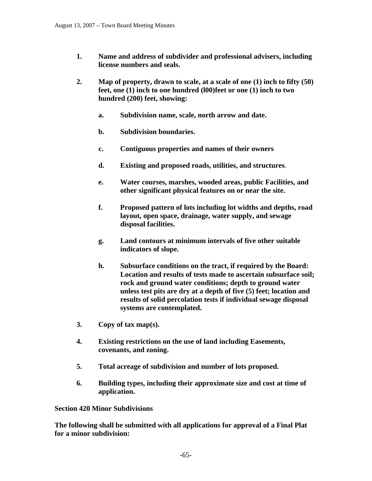- **1. Name and address of subdivider and professional advisers, including license numbers and seals.**
- **2. Map of property, drawn to scale, at a scale of one (1) inch to fifty (50) feet, one (1) inch to one hundred (l00)feet or one (1) inch to two hundred (200) feet, showing:** 
	- **a. Subdivision name, scale, north arrow and date.**
	- **b. Subdivision boundaries.**
	- **c. Contiguous properties and names of their owners**
	- **d. Existing and proposed roads, utilities, and structures**.
	- **e. Water courses, marshes, wooded areas, public Facilities, and other significant physical features on or near the site.**
	- **f. Proposed pattern of lots including lot widths and depths, road layout, open space, drainage, water supply, and sewage disposal facilities.**
	- **g. Land contours at minimum intervals of five other suitable indicators of slope.**
	- **h. Subsurface conditions on the tract, if required by the Board: Location and results of tests made to ascertain subsurface soil; rock and ground water conditions; depth to ground water unless test pits are dry at a depth of five (5) feet; location and results of solid percolation tests if individual sewage disposal systems are contemplated.**
- **3. Copy of tax map(s).**
- **4. Existing restrictions on the use of land including Easements, covenants, and zoning.**
- **5. Total acreage of subdivision and number of lots proposed.**
- **6. Building types, including their approximate size and cost at time of application.**

**Section 420 Minor Subdivisions** 

**The following shall be submitted with all applications for approval of a Final Plat for a minor subdivision:**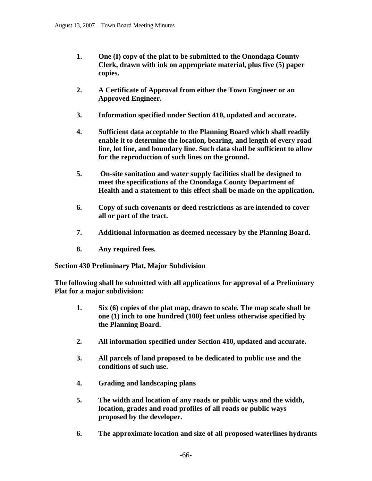- **1. One (I) copy of the plat to be submitted to the Onondaga County Clerk, drawn with ink on appropriate material, plus five (5) paper copies.**
- **2. A Certificate of Approval from either the Town Engineer or an Approved Engineer.**
- **3. Information specified under Section 410, updated and accurate.**
- **4. Sufficient data acceptable to the Planning Board which shall readily enable it to determine the location, bearing, and length of every road line, lot line, and boundary line. Such data shall be sufficient to allow for the reproduction of such lines on the ground.**
- **5. On-site sanitation and water supply facilities shall be designed to meet the specifications of the Onondaga County Department of Health and a statement to this effect shall be made on the application.**
- **6. Copy of such covenants or deed restrictions as are intended to cover all or part of the tract.**
- **7. Additional information as deemed necessary by the Planning Board.**
- **8. Any required fees.**

**Section 430 Preliminary Plat, Major Subdivision** 

**The following shall be submitted with all applications for approval of a Preliminary Plat for a major subdivision:** 

- **1. Six (6) copies of the plat map, drawn to scale. The map scale shall be one (1) inch to one hundred (100) feet unless otherwise specified by the Planning Board.**
- **2. All information specified under Section 410, updated and accurate.**
- **3. All parcels of land proposed to be dedicated to public use and the conditions of such use.**
- **4. Grading and landscaping plans**
- **5. The width and location of any roads or public ways and the width, location, grades and road profiles of all roads or public ways proposed by the developer.**
- **6. The approximate location and size of all proposed waterlines hydrants**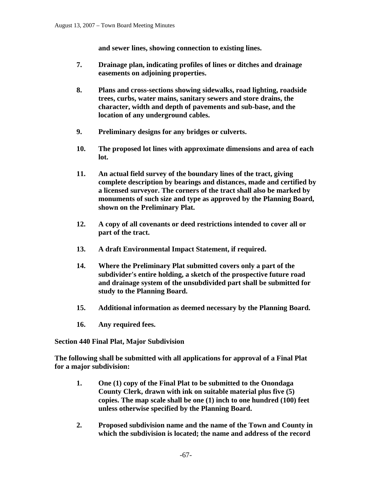**and sewer lines, showing connection to existing lines.** 

- **7. Drainage plan, indicating profiles of lines or ditches and drainage easements on adjoining properties.**
- **8. Plans and cross-sections showing sidewalks, road lighting, roadside trees, curbs, water mains, sanitary sewers and store drains, the character, width and depth of pavements and sub-base, and the location of any underground cables.**
- **9. Preliminary designs for any bridges or culverts.**
- **10. The proposed lot lines with approximate dimensions and area of each lot.**
- **11. An actual field survey of the boundary lines of the tract, giving complete description by bearings and distances, made and certified by a licensed surveyor. The corners of the tract shall also be marked by monuments of such size and type as approved by the Planning Board, shown on the Preliminary Plat.**
- **12. A copy of all covenants or deed restrictions intended to cover all or part of the tract.**
- **13. A draft Environmental Impact Statement, if required.**
- **14. Where the Preliminary Plat submitted covers only a part of the subdivider's entire holding, a sketch of the prospective future road and drainage system of the unsubdivided part shall be submitted for study to the Planning Board.**
- **15. Additional information as deemed necessary by the Planning Board.**
- **16. Any required fees.**

**Section 440 Final Plat, Major Subdivision** 

**The following shall be submitted with all applications for approval of a Final Plat for a major subdivision:** 

- **1. One (1) copy of the Final Plat to be submitted to the Onondaga County Clerk, drawn with ink on suitable material plus five (5) copies. The map scale shall be one (1) inch to one hundred (100) feet unless otherwise specified by the Planning Board.**
- **2. Proposed subdivision name and the name of the Town and County in which the subdivision is located; the name and address of the record**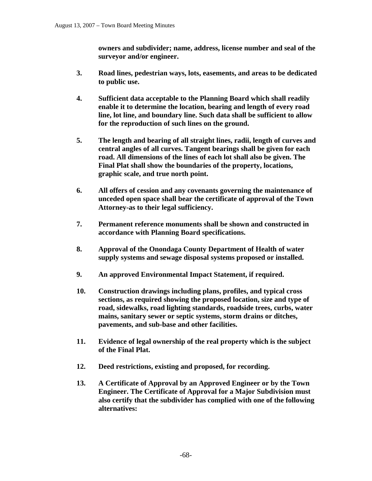**owners and subdivider; name, address, license number and seal of the surveyor and/or engineer.** 

- **3. Road lines, pedestrian ways, lots, easements, and areas to be dedicated to public use.**
- **4. Sufficient data acceptable to the Planning Board which shall readily enable it to determine the location, bearing and length of every road line, lot line, and boundary line. Such data shall be sufficient to allow for the reproduction of such lines on the ground.**
- **5. The length and bearing of all straight lines, radii, length of curves and central angles of all curves. Tangent bearings shall be given for each road. All dimensions of the lines of each lot shall also be given. The Final Plat shall show the boundaries of the property, locations, graphic scale, and true north point.**
- **6. All offers of cession and any covenants governing the maintenance of unceded open space shall bear the certificate of approval of the Town Attorney-as to their legal sufficiency.**
- **7. Permanent reference monuments shall be shown and constructed in accordance with Planning Board specifications.**
- **8. Approval of the Onondaga County Department of Health of water supply systems and sewage disposal systems proposed or installed.**
- **9. An approved Environmental Impact Statement, if required.**
- **10. Construction drawings including plans, profiles, and typical cross sections, as required showing the proposed location, size and type of road, sidewalks, road lighting standards, roadside trees, curbs, water mains, sanitary sewer or septic systems, storm drains or ditches, pavements, and sub-base and other facilities.**
- **11. Evidence of legal ownership of the real property which is the subject of the Final Plat.**
- **12. Deed restrictions, existing and proposed, for recording.**
- **13. A Certificate of Approval by an Approved Engineer or by the Town Engineer. The Certificate of Approval for a Major Subdivision must also certify that the subdivider has complied with one of the following alternatives:**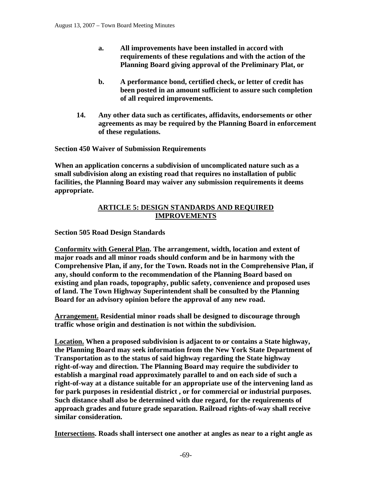- **a. All improvements have been installed in accord with requirements of these regulations and with the action of the Planning Board giving approval of the Preliminary Plat, or**
- **b. A performance bond, certified check, or letter of credit has been posted in an amount sufficient to assure such completion of all required improvements.**
- **14. Any other data such as certificates, affidavits, endorsements or other agreements as may be required by the Planning Board in enforcement of these regulations.**

**Section 450 Waiver of Submission Requirements** 

**When an application concerns a subdivision of uncomplicated nature such as a small subdivision along an existing road that requires no installation of public facilities, the Planning Board may waiver any submission requirements it deems appropriate.** 

# **ARTICLE 5: DESIGN STANDARDS AND REQUIRED IMPROVEMENTS**

# **Section 505 Road Design Standards**

**Conformity with General Plan. The arrangement, width, location and extent of major roads and all minor roads should conform and be in harmony with the Comprehensive Plan, if any, for the Town. Roads not in the Comprehensive Plan, if any, should conform to the recommendation of the Planning Board based on existing and plan roads, topography, public safety, convenience and proposed uses of land. The Town Highway Superintendent shall be consulted by the Planning Board for an advisory opinion before the approval of any new road.** 

**Arrangement. Residential minor roads shall be designed to discourage through traffic whose origin and destination is not within the subdivision.** 

**Location. When a proposed subdivision is adjacent to or contains a State highway, the Planning Board may seek information from the New York State Department of Transportation as to the status of said highway regarding the State highway right-of-way and direction. The Planning Board may require the subdivider to establish a marginal road approximately parallel to and on each side of such a right-of-way at a distance suitable for an appropriate use of the intervening land as for park purposes in residential district , or for commercial or industrial purposes. Such distance shall also be determined with due regard, for the requirements of approach grades and future grade separation. Railroad rights-of-way shall receive similar consideration.** 

**Intersections. Roads shall intersect one another at angles as near to a right angle as**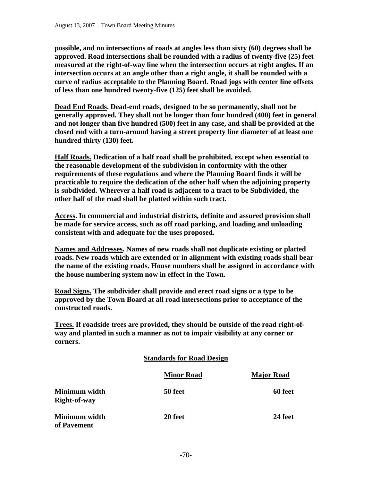**possible, and no intersections of roads at angles less than sixty (60) degrees shall be approved. Road intersections shall be rounded with a radius of twenty-five (25) feet measured at the right-of-way line when the intersection occurs at right angles. If an intersection occurs at an angle other than a right angle, it shall be rounded with a curve of radius acceptable to the Planning Board. Road jogs with center line offsets of less than one hundred twenty-five (125) feet shall be avoided.** 

**Dead End Roads. Dead-end roads, designed to be so permanently, shall not be generally approved. They shall not be longer than four hundred (400) feet in general and not longer than five hundred (500) feet in any case, and shall be provided at the closed end with a turn-around having a street property line diameter of at least one hundred thirty (130) feet.** 

**Half Roads. Dedication of a half road shall be prohibited, except when essential to the reasonable development of the subdivision in conformity with the other requirements of these regulations and where the Planning Board finds it will be practicable to require the dedication of the other half when the adjoining property is subdivided. Wherever a half road is adjacent to a tract to be Subdivided, the other half of the road shall be platted within such tract.** 

**Access. In commercial and industrial districts, definite and assured provision shall be made for service access, such as off road parking, and loading and unloading consistent with and adequate for the uses proposed.** 

**Names and Addresses. Names of new roads shall not duplicate existing or platted roads. New roads which are extended or in alignment with existing roads shall bear the name of the existing roads. House numbers shall be assigned in accordance with the house numbering system now in effect in the Town.** 

**Road Signs. The subdivider shall provide and erect road signs or a type to be approved by the Town Board at all road intersections prior to acceptance of the constructed roads.** 

**Trees. If roadside trees are provided, they should be outside of the road right-ofway and planted in such a manner as not to impair visibility at any corner or corners.** 

|                               | <b>Standards for Road Design</b> |                   |
|-------------------------------|----------------------------------|-------------------|
|                               | <b>Minor Road</b>                | <b>Major Road</b> |
| Minimum width<br>Right-of-way | 50 feet                          | 60 feet           |
| Minimum width<br>of Pavement  | 20 feet                          | 24 feet           |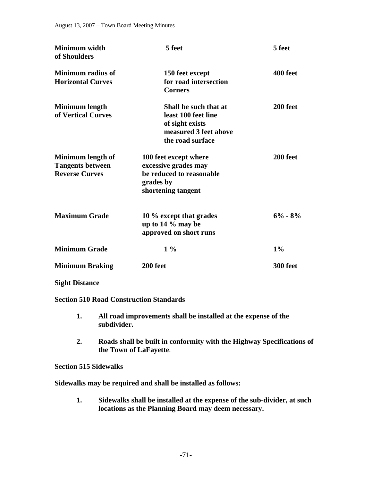| Minimum width<br>of Shoulders                                         | 5 feet                                                                                                       | 5 feet      |
|-----------------------------------------------------------------------|--------------------------------------------------------------------------------------------------------------|-------------|
| <b>Minimum radius of</b><br><b>Horizontal Curves</b>                  | 150 feet except<br>for road intersection<br><b>Corners</b>                                                   | 400 feet    |
| Minimum length<br>of Vertical Curves                                  | Shall be such that at<br>least 100 feet line<br>of sight exists<br>measured 3 feet above<br>the road surface | 200 feet    |
| Minimum length of<br><b>Tangents between</b><br><b>Reverse Curves</b> | 100 feet except where<br>excessive grades may<br>be reduced to reasonable<br>grades by<br>shortening tangent | 200 feet    |
| <b>Maximum Grade</b>                                                  | 10 % except that grades<br>up to $14\%$ may be<br>approved on short runs                                     | $6\% - 8\%$ |
| <b>Minimum Grade</b>                                                  | $1\%$                                                                                                        | 1%          |
| <b>Minimum Braking</b>                                                | 200 feet                                                                                                     | 300 feet    |

### **Sight Distance**

**Section 510 Road Construction Standards** 

- **1. All road improvements shall be installed at the expense of the subdivider.**
- **2. Roads shall be built in conformity with the Highway Specifications of the Town of LaFayette**.

### **Section 515 Sidewalks**

**Sidewalks may be required and shall be installed as follows:** 

 **1. Sidewalks shall be installed at the expense of the sub-divider, at such locations as the Planning Board may deem necessary.**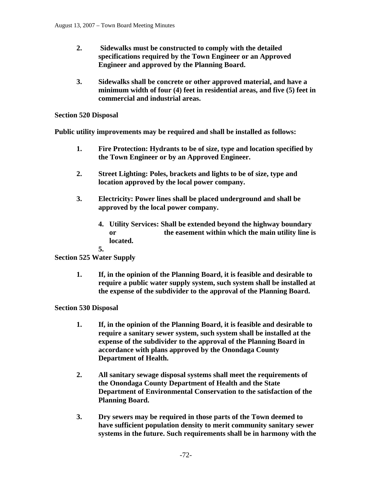- **2. Sidewalks must be constructed to comply with the detailed specifications required by the Town Engineer or an Approved Engineer and approved by the Planning Board.**
- **3. Sidewalks shall be concrete or other approved material, and have a minimum width of four (4) feet in residential areas, and five (5) feet in commercial and industrial areas.**

### **Section 520 Disposal**

**Public utility improvements may be required and shall be installed as follows:** 

- **1. Fire Protection: Hydrants to be of size, type and location specified by the Town Engineer or by an Approved Engineer.**
- **2. Street Lighting: Poles, brackets and lights to be of size, type and location approved by the local power company.**
- **3. Electricity: Power lines shall be placed underground and shall be approved by the local power company.** 
	- **4. Utility Services: Shall be extended beyond the highway boundary or the easement within which the main utility line is located.**

**5.**

# **Section 525 Water Supply**

 **1. If, in the opinion of the Planning Board, it is feasible and desirable to require a public water supply system, such system shall be installed at the expense of the subdivider to the approval of the Planning Board.** 

# **Section 530 Disposal**

- **1. If, in the opinion of the Planning Board, it is feasible and desirable to require a sanitary sewer system, such system shall be installed at the expense of the subdivider to the approval of the Planning Board in accordance with plans approved by the Onondaga County Department of Health.**
- **2. All sanitary sewage disposal systems shall meet the requirements of the Onondaga County Department of Health and the State Department of Environmental Conservation to the satisfaction of the Planning Board.**
- **3. Dry sewers may be required in those parts of the Town deemed to have sufficient population density to merit community sanitary sewer systems in the future. Such requirements shall be in harmony with the**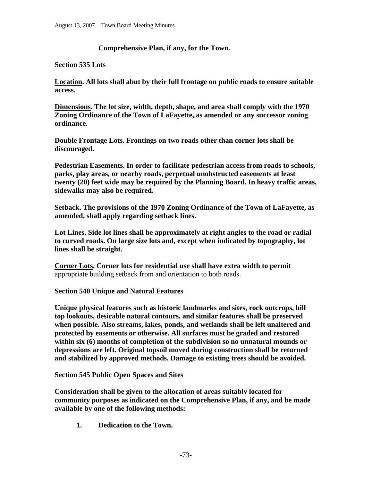# **Comprehensive Plan, if any, for the Town.**

## **Section 535 Lots**

**Location. All lots shall abut by their full frontage on public roads to ensure suitable access.** 

**Dimensions. The lot size, width, depth, shape, and area shall comply with the 1970 Zoning Ordinance of the Town of LaFayette, as amended or any successor zoning ordinance.** 

**Double Frontage Lots. Frontings on two roads other than corner lots shall be discouraged.** 

**Pedestrian Easements. In order to facilitate pedestrian access from roads to schools, parks, play areas, or nearby roads, perpetual unobstructed easements at least twenty (20) feet wide may be required by the Planning Board. In heavy traffic areas, sidewalks may also be required.** 

**Setback. The provisions of the 1970 Zoning Ordinance of the Town of LaFayette, as amended, shall apply regarding setback lines.** 

**Lot Lines. Side lot lines shall be approximately at right angles to the road or radial to curved roads. On large size lots and, except when indicated by topography, lot lines shall be straight.** 

**Corner Lots. Corner lots for residential use shall have extra width to permit**  appropriate building setback from and orientation to both roads.

## **Section 540 Unique and Natural Features**

**Unique physical features such as historic landmarks and sites, rock outcrops, hill top lookouts, desirable natural contours, and similar features shall be preserved when possible. Also streams, lakes, ponds, and wetlands shall be left unaltered and protected by easements or otherwise. All surfaces must be graded and restored within six (6) months of completion of the subdivision so no unnatural mounds or depressions are left. Original topsoil moved during construction shall be returned and stabilized by approved methods. Damage to existing trees should be avoided.** 

**Section 545 Public Open Spaces and Sites** 

**Consideration shall be given to the allocation of areas suitably located for community purposes as indicated on the Comprehensive Plan, if any, and be made available by one of the following methods:** 

 **1. Dedication to the Town.**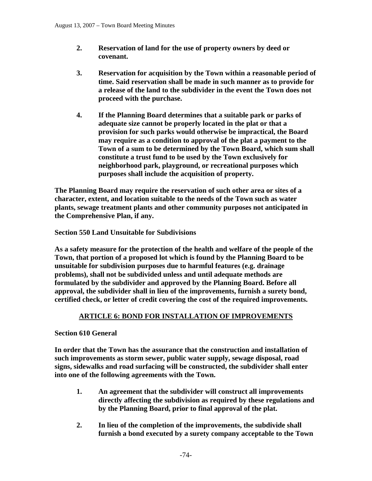- **2. Reservation of land for the use of property owners by deed or covenant.**
- **3. Reservation for acquisition by the Town within a reasonable period of time. Said reservation shall be made in such manner as to provide for a release of the land to the subdivider in the event the Town does not proceed with the purchase.**
- **4. If the Planning Board determines that a suitable park or parks of adequate size cannot be properly located in the plat or that a provision for such parks would otherwise be impractical, the Board may require as a condition to approval of the plat a payment to the Town of a sum to be determined by the Town Board, which sum shall constitute a trust fund to be used by the Town exclusively for neighborhood park, playground, or recreational purposes which purposes shall include the acquisition of property.**

**The Planning Board may require the reservation of such other area or sites of a character, extent, and location suitable to the needs of the Town such as water plants, sewage treatment plants and other community purposes not anticipated in the Comprehensive Plan, if any.** 

**Section 550 Land Unsuitable for Subdivisions** 

**As a safety measure for the protection of the health and welfare of the people of the Town, that portion of a proposed lot which is found by the Planning Board to be unsuitable for subdivision purposes due to harmful features (e.g. drainage problems), shall not be subdivided unless and until adequate methods are formulated by the subdivider and approved by the Planning Board. Before all approval, the subdivider shall in lieu of the improvements, furnish a surety bond, certified check, or letter of credit covering the cost of the required improvements.** 

## **ARTICLE 6: BOND FOR INSTALLATION OF IMPROVEMENTS**

#### **Section 610 General**

**In order that the Town has the assurance that the construction and installation of such improvements as storm sewer, public water supply, sewage disposal, road signs, sidewalks and road surfacing will be constructed, the subdivider shall enter into one of the following agreements with the Town.** 

- **1. An agreement that the subdivider will construct all improvements directly affecting the subdivision as required by these regulations and by the Planning Board, prior to final approval of the plat.**
- **2. In lieu of the completion of the improvements, the subdivide shall furnish a bond executed by a surety company acceptable to the Town**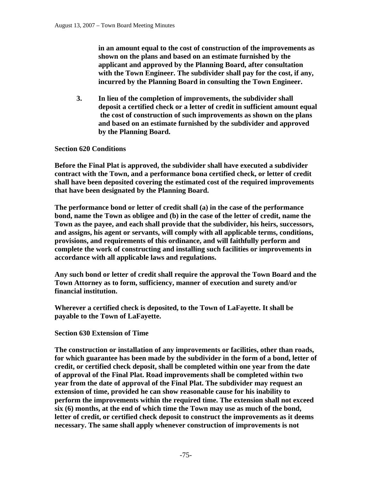**in an amount equal to the cost of construction of the improvements as shown on the plans and based on an estimate furnished by the applicant and approved by the Planning Board, after consultation with the Town Engineer. The subdivider shall pay for the cost, if any, incurred by the Planning Board in consulting the Town Engineer.** 

 **3. In lieu of the completion of improvements, the subdivider shall deposit a certified check or a letter of credit in sufficient amount equal the cost of construction of such improvements as shown on the plans and based on an estimate furnished by the subdivider and approved by the Planning Board.** 

## **Section 620 Conditions**

**Before the Final Plat is approved, the subdivider shall have executed a subdivider contract with the Town, and a performance bona certified check, or letter of credit shall have been deposited covering the estimated cost of the required improvements that have been designated by the Planning Board.** 

**The performance bond or letter of credit shall (a) in the case of the performance bond, name the Town as obligee and (b) in the case of the letter of credit, name the Town as the payee, and each shall provide that the subdivider, his heirs, successors, and assigns, his agent or servants, will comply with all applicable terms, conditions, provisions, and requirements of this ordinance, and will faithfully perform and complete the work of constructing and installing such facilities or improvements in accordance with all applicable laws and regulations.** 

**Any such bond or letter of credit shall require the approval the Town Board and the Town Attorney as to form, sufficiency, manner of execution and surety and/or financial institution.** 

**Wherever a certified check is deposited, to the Town of LaFayette. It shall be payable to the Town of LaFayette.** 

#### **Section 630 Extension of Time**

**The construction or installation of any improvements or facilities, other than roads, for which guarantee has been made by the subdivider in the form of a bond, letter of credit, or certified check deposit, shall be completed within one year from the date of approval of the Final Plat. Road improvements shall be completed within two year from the date of approval of the Final Plat. The subdivider may request an extension of time, provided he can show reasonable cause for his inability to perform the improvements within the required time. The extension shall not exceed six (6) months, at the end of which time the Town may use as much of the bond, letter of credit, or certified check deposit to construct the improvements as it deems necessary. The same shall apply whenever construction of improvements is not**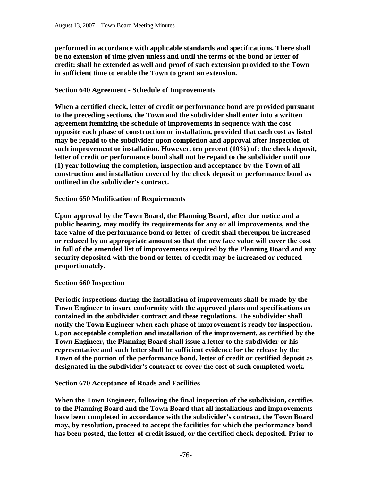**performed in accordance with applicable standards and specifications. There shall be no extension of time given unless and until the terms of the bond or letter of credit: shall be extended as well and proof of such extension provided to the Town in sufficient time to enable the Town to grant an extension.** 

## **Section 640 Agreement - Schedule of Improvements**

**When a certified check, letter of credit or performance bond are provided pursuant to the preceding sections, the Town and the subdivider shall enter into a written agreement itemizing the schedule of improvements in sequence with the cost opposite each phase of construction or installation, provided that each cost as listed may be repaid to the subdivider upon completion and approval after inspection of such improvement or installation. However, ten percent (10%) of: the check deposit, letter of credit or performance bond shall not be repaid to the subdivider until one (1) year following the completion, inspection and acceptance by the Town of all construction and installation covered by the check deposit or performance bond as outlined in the subdivider's contract.** 

## **Section 650 Modification of Requirements**

**Upon approval by the Town Board, the Planning Board, after due notice and a public hearing, may modify its requirements for any or all improvements, and the face value of the performance bond or letter of credit shall thereupon be increased or reduced by an appropriate amount so that the new face value will cover the cost in full of the amended list of improvements required by the Planning Board and any security deposited with the bond or letter of credit may be increased or reduced proportionately.** 

#### **Section 660 Inspection**

**Periodic inspections during the installation of improvements shall be made by the Town Engineer to insure conformity with the approved plans and specifications as contained in the subdivider contract and these regulations. The subdivider shall notify the Town Engineer when each phase of improvement is ready for inspection. Upon acceptable completion and installation of the improvement, as certified by the Town Engineer, the Planning Board shall issue a letter to the subdivider or his representative and such letter shall be sufficient evidence for the release by the Town of the portion of the performance bond, letter of credit or certified deposit as designated in the subdivider's contract to cover the cost of such completed work.** 

#### **Section 670 Acceptance of Roads and Facilities**

**When the Town Engineer, following the final inspection of the subdivision, certifies to the Planning Board and the Town Board that all installations and improvements have been completed in accordance with the subdivider's contract, the Town Board may, by resolution, proceed to accept the facilities for which the performance bond has been posted, the letter of credit issued, or the certified check deposited. Prior to**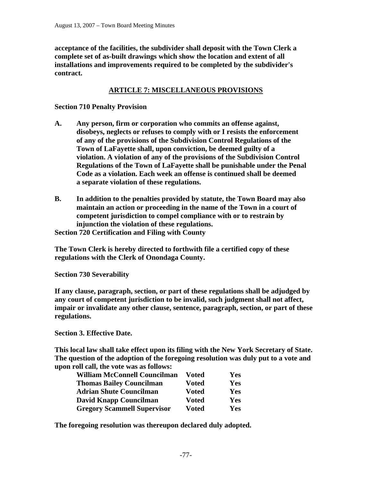**acceptance of the facilities, the subdivider shall deposit with the Town Clerk a complete set of as-built drawings which show the location and extent of all installations and improvements required to be completed by the subdivider's contract.** 

## **ARTICLE 7: MISCELLANEOUS PROVISIONS**

## **Section 710 Penalty Provision**

- **A. Any person, firm or corporation who commits an offense against, disobeys, neglects or refuses to comply with or I resists the enforcement of any of the provisions of the Subdivision Control Regulations of the Town of LaFayette shall, upon conviction, be deemed guilty of a violation. A violation of any of the provisions of the Subdivision Control Regulations of the Town of LaFayette shall be punishable under the Penal Code as a violation. Each week an offense is continued shall be deemed a separate violation of these regulations.**
- **B. In addition to the penalties provided by statute, the Town Board may also maintain an action or proceeding in the name of the Town in a court of competent jurisdiction to compel compliance with or to restrain by injunction the violation of these regulations.**

**Section 720 Certification and Filing with County** 

**The Town Clerk is hereby directed to forthwith file a certified copy of these regulations with the Clerk of Onondaga County.** 

**Section 730 Severability** 

**If any clause, paragraph, section, or part of these regulations shall be adjudged by any court of competent jurisdiction to be invalid, such judgment shall not affect, impair or invalidate any other clause, sentence, paragraph, section, or part of these regulations.** 

**Section 3. Effective Date.** 

**This local law shall take effect upon its filing with the New York Secretary of State. The question of the adoption of the foregoing resolution was duly put to a vote and upon roll call, the vote was as follows:** 

| <b>William McConnell Councilman</b> | Voted        | Yes        |
|-------------------------------------|--------------|------------|
| <b>Thomas Bailey Councilman</b>     | Voted        | Yes        |
| <b>Adrian Shute Councilman</b>      | <b>Voted</b> | <b>Yes</b> |
| <b>David Knapp Councilman</b>       | <b>Voted</b> | Yes        |
| <b>Gregory Scammell Supervisor</b>  | <b>Voted</b> | Yes        |

**The foregoing resolution was thereupon declared duly adopted.**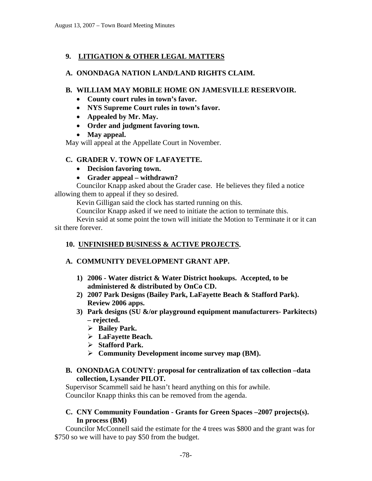# **9. LITIGATION & OTHER LEGAL MATTERS**

## **A. ONONDAGA NATION LAND/LAND RIGHTS CLAIM.**

## **B. WILLIAM MAY MOBILE HOME ON JAMESVILLE RESERVOIR.**

- **County court rules in town's favor.**
- **NYS Supreme Court rules in town's favor.**
- **Appealed by Mr. May.**
- **Order and judgment favoring town.**
- **May appeal.**

May will appeal at the Appellate Court in November.

## **C. GRADER V. TOWN OF LAFAYETTE.**

- **Decision favoring town.**
- **Grader appeal withdrawn?**

Councilor Knapp asked about the Grader case. He believes they filed a notice allowing them to appeal if they so desired.

Kevin Gilligan said the clock has started running on this.

Councilor Knapp asked if we need to initiate the action to terminate this.

 Kevin said at some point the town will initiate the Motion to Terminate it or it can sit there forever.

## **10. UNFINISHED BUSINESS & ACTIVE PROJECTS.**

## **A. COMMUNITY DEVELOPMENT GRANT APP.**

- **1) 2006 Water district & Water District hookups. Accepted, to be administered & distributed by OnCo CD.**
- **2) 2007 Park Designs (Bailey Park, LaFayette Beach & Stafford Park). Review 2006 apps.**
- **3) Park designs (SU &/or playground equipment manufacturers- Parkitects) – rejected.** 
	- ¾ **Bailey Park.**
	- ¾ **LaFayette Beach.**
	- ¾ **Stafford Park.**
	- ¾ **Community Development income survey map (BM).**

## **B. ONONDAGA COUNTY: proposal for centralization of tax collection –data collection, Lysander PILOT.**

Supervisor Scammell said he hasn't heard anything on this for awhile. Councilor Knapp thinks this can be removed from the agenda.

## **C. CNY Community Foundation - Grants for Green Spaces –2007 projects(s). In process (BM)**

Councilor McConnell said the estimate for the 4 trees was \$800 and the grant was for \$750 so we will have to pay \$50 from the budget.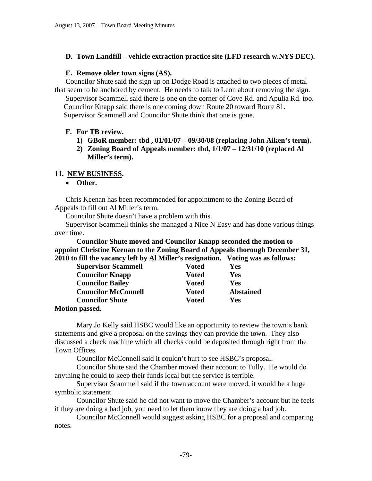## **D. Town Landfill – vehicle extraction practice site (LFD research w.NYS DEC).**

#### **E. Remove older town signs (AS).**

Councilor Shute said the sign up on Dodge Road is attached to two pieces of metal that seem to be anchored by cement. He needs to talk to Leon about removing the sign. Supervisor Scammell said there is one on the corner of Coye Rd. and Apulia Rd. too. Councilor Knapp said there is one coming down Route 20 toward Route 81. Supervisor Scammell and Councilor Shute think that one is gone.

#### **F. For TB review.**

- **1) GBoR member: tbd , 01/01/07 09/30/08 (replacing John Aiken's term).**
- **2) Zoning Board of Appeals member: tbd, 1/1/07 12/31/10 (replaced Al Miller's term).**

#### **11. NEW BUSINESS.**

• **Other.** 

Chris Keenan has been recommended for appointment to the Zoning Board of Appeals to fill out Al Miller's term.

Councilor Shute doesn't have a problem with this.

Supervisor Scammell thinks she managed a Nice N Easy and has done various things over time.

**Councilor Shute moved and Councilor Knapp seconded the motion to appoint Christine Keenan to the Zoning Board of Appeals thorough December 31, 2010 to fill the vacancy left by Al Miller's resignation. Voting was as follows:** 

| <b>Supervisor Scammell</b> | Voted        | Yes              |
|----------------------------|--------------|------------------|
| <b>Councilor Knapp</b>     | Voted        | Yes              |
| <b>Councilor Bailey</b>    | <b>Voted</b> | Yes              |
| <b>Councilor McConnell</b> | <b>Voted</b> | <b>Abstained</b> |
| <b>Councilor Shute</b>     | Voted        | Yes              |
| $Mofion$ noggad            |              |                  |

#### **Motion passed.**

 Mary Jo Kelly said HSBC would like an opportunity to review the town's bank statements and give a proposal on the savings they can provide the town. They also discussed a check machine which all checks could be deposited through right from the Town Offices.

Councilor McConnell said it couldn't hurt to see HSBC's proposal.

 Councilor Shute said the Chamber moved their account to Tully. He would do anything he could to keep their funds local but the service is terrible.

 Supervisor Scammell said if the town account were moved, it would be a huge symbolic statement.

 Councilor Shute said he did not want to move the Chamber's account but he feels if they are doing a bad job, you need to let them know they are doing a bad job.

 Councilor McConnell would suggest asking HSBC for a proposal and comparing notes.